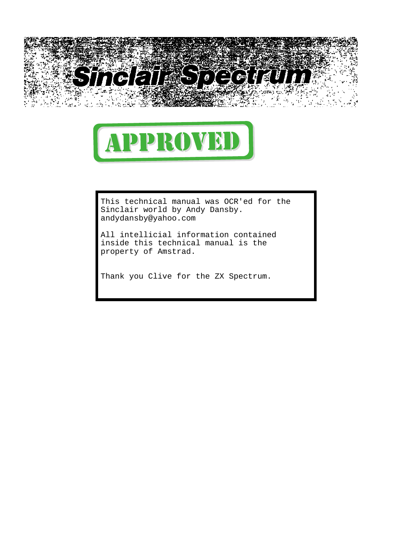



This technical manual was OCR'ed for the Sinclair world by Andy Dansby. andydansby@yahoo.com

All intellicial information contained inside this technical manual is the property of Amstrad.

Thank you Clive for the ZX Spectrum.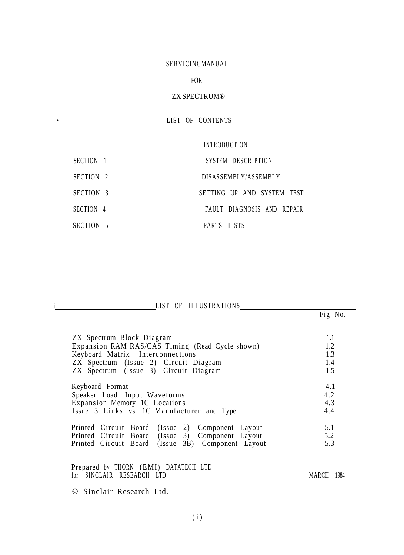# SERVICINGMANUAL

FOR

# ZX SPECTRUM®

LIST OF CONTENTS INTRODUCTION SECTION 1 SYSTEM DESCRIPTION SECTION 2 DISASSEMBLY/ASSEMBLY SECTION 3 SETTING UP AND SYSTEM TEST SECTION 4 FAULT DIAGNOSIS AND REPAIR SECTION 5 PARTS LISTS

#### i LIST OF ILLUSTRATIONS in the contract of the contract of the contract of the contract of the contract of the contract of the contract of the contract of the contract of the contract of the contract of the contract of the

Fig No.

| ZX Spectrum Block Diagram                                            | 1.1           |
|----------------------------------------------------------------------|---------------|
| Expansion RAM RAS/CAS Timing (Read Cycle shown)                      | 1.2           |
| Keyboard Matrix Interconnections                                     | 1.3           |
| ZX Spectrum (Issue 2) Circuit Diagram                                | 1.4           |
| ZX Spectrum (Issue 3) Circuit Diagram                                | 1.5           |
| Keyboard Format                                                      | 4.1           |
| Speaker Load Input Waveforms                                         | 4.2           |
| Expansion Memory 1C Locations                                        | 4.3           |
| Issue 3 Links vs 1C Manufacturer and Type                            | 4.4           |
| Printed Circuit Board (Issue 2) Component Layout                     | 5.1           |
| Printed Circuit Board (Issue 3) Component Layout                     | 5.2           |
| Printed Circuit Board (Issue 3B) Component Layout                    | 5.3           |
| Prepared by THORN (EMI) DATATECH LTD<br>SINCLAIR RESEARCH LTD<br>for | MARCH<br>1984 |

© Sinclair Research Ltd.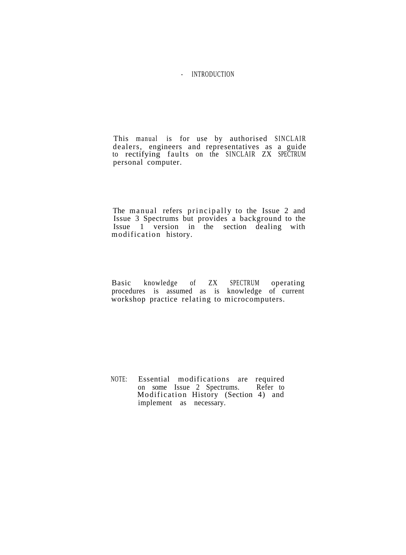## - INTRODUCTION

This manual is for use by authorised SINCLAIR dealers, engineers and representatives as a guide to rectifying faults on the SINCLAIR ZX SPECTRUM personal computer.

The manual refers principally to the Issue 2 and Issue 3 Spectrums but provides a background to the Issue 1 version in the section dealing with modification history.

Basic knowledge of ZX SPECTRUM operating procedures is assumed as is knowledge of current workshop practice relating to microcomputers.

NOTE: Essential modifications are required on some Issue 2 Spectrums. Refer to Modification History (Section 4) and implement as necessary.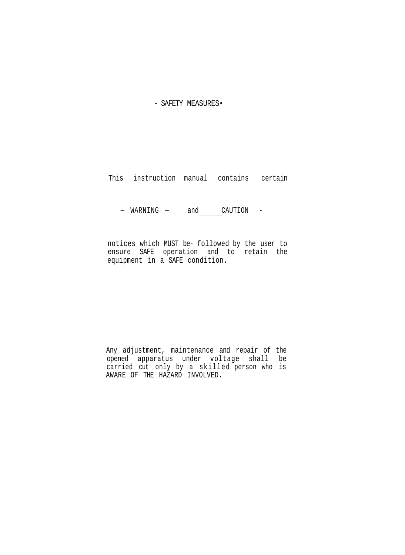- SAFETY MEASURES•

This instruction manual contains certain

— WARNING — and CAUTION -

notices which MUST be- followed by the user to ensure SAFE operation and to retain the equipment in a SAFE condition.

Any adjustment, maintenance and repair of the opened apparatus under voltage shall be carried cut only by a skilled person who is AWARE OF THE HAZARD INVOLVED.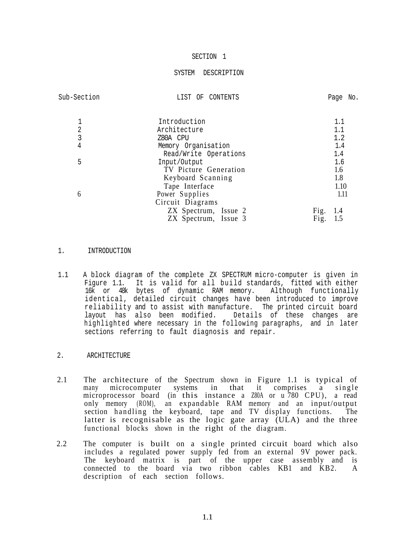### SECTION 1

### SYSTEM DESCRIPTION

| LIST OF<br>CONTENTS   | No.<br>Page |
|-----------------------|-------------|
| Introduction          | 1.1         |
| Architecture          | 1.1         |
| Z80A CPU              | 1.2         |
| Memory Organisation   | 1.4         |
| Read/Write Operations | 1.4         |
| Input/Output          | 1.6         |
| TV Picture Generation | 1.6         |
| Keyboard Scanning     | 1.8         |
| Tape Interface        | 1.10        |
| Power Supplies        | 1.11        |
| Circuit Diagrams      |             |
| ZX Spectrum, Issue 2  | Fig.<br>1.4 |
| ZX Spectrum, Issue 3  | Fig.<br>1.5 |
|                       |             |

#### 1. INTRODUCTION

1.1 A block diagram of the complete ZX SPECTRUM micro-computer is given in Figure 1.1. It is valid for all build standards, fitted with either 16k or 48k bytes of dynamic RAM memory. Although functionally identical, detailed circuit changes have been introduced to improve reliability and to assist with manufacture. The printed circuit board layout has also been modified. Details of these changes are highlighted where necessary in the following paragraphs, and in later sections referring to fault diagnosis and repair.

#### 2. ARCHITECTURE

- 2.1 The architecture of the Spectrum shown in Figure 1.1 is typical of many microcomputer systems in that it comprises a single microprocessor board (in this instance a Z80A or u 780 CPU), a read only memory (ROM), an expandable RAM memory and an input/output section handling the keyboard, tape and TV display functions. The latter is recognisable as the logic gate array (ULA) and the three functional blocks shown in the right of the diagram.
- 2.2 The computer is built on a single printed circuit board which also includes a regulated power supply fed from an external 9V power pack. The keyboard matrix is part of the upper case assembly and is connected to the board via two ribbon cables KB1 and KB2. A description of each section follows.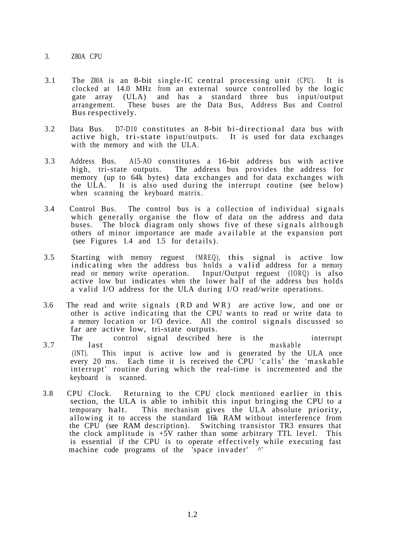- 3. Z80A CPU
- 3.1 The Z80A is an 8-bit single-IC central processing unit (CPU). It is clocked at 14.0 MHz from an external source controlled by the logic gate array (ULA) and has a standard three bus input/output arrangement. These buses are the Data Bus, Address Bus and Control Bus respectively.
- 3.2 Data Bus. D7-D10 constitutes an 8-bit bi-directional data bus with active high, tri-state input/outputs. It is used for data exchanges with the memory and with the ULA.
- 3.3 Address Bus. A15-AO constitutes a 16-bit address bus with active high, tri-state outputs. The address bus provides the address for memory (up to  $64k$  bytes) data exchanges and for data exchanges with the ULA. It is also used during the interrupt routine (see below) when scanning the keyboard matrix.
- 3.4 Control Bus. The control bus is a collection of individual signals which generally organise the flow of data on the address and data buses. The block diagram only shows five of these signals although others of minor importance are made available at the expansion port (see Figures 1.4 and 1.5 for details).
- 3.5 Starting with memory reguest fMREQ), this signal is active low indicating when the address bus holds a valid address for a memory read or memory write operation. Input/Output reguest (IORQ) is also active low but indicates when the lower half of the address bus holds a valid I/O address for the ULA during I/O read/write operations.
- 3.6 The read and write signals (RD and WR) are active low, and one or other is active indicating that the CPU wants to read or write data to a memory location or I/O device. All the control signals discussed so far are active low, tri-state outputs.
- The control signal described here is the interrupt last 3.7 last maskable<br>(INT). This input is active low and is generated by the This input is active low and is generated by the ULA once every 20 ms. Each time it is received the CPU 'calls' the 'maskable interrupt' routine during which the real-time is incremented and the keyboard is scanned.
- 3.8 CPU Clock. Returning to the CPU clock mentioned earlier in this section, the ULA is able to inhibit this input bringing the CPU to a temporary halt. This mechanism gives the ULA absolute priority, allowing it to access the standard 16k RAM without interference from the CPU (see RAM description). Switching transistor TR3 ensures that the clock amplitude is +5V rather than some arbitrary TTL level. This is essential if the CPU is to operate effectively while executing fast machine code programs of the 'space invader'  $^{\prime}$ '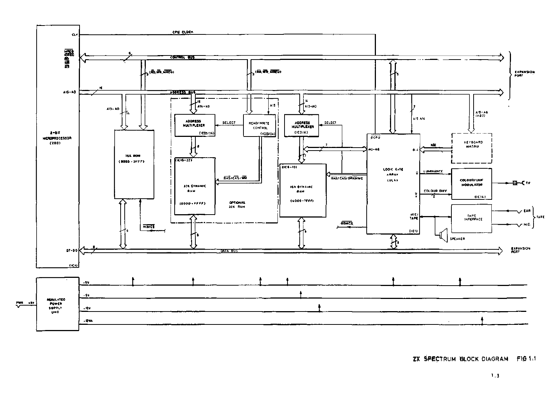

ZX SPECTRUM BLOCK DIAGRAM FIG 1.1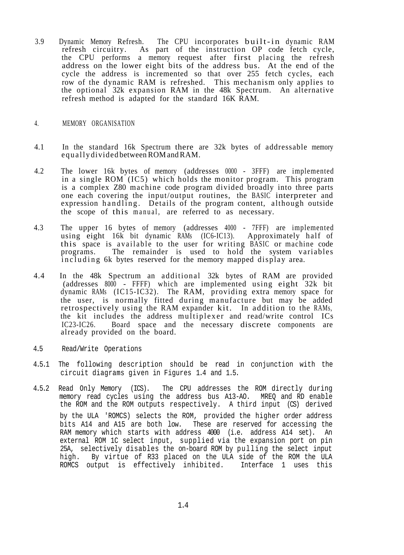- 3.9 Dynamic Memory Refresh. The CPU incorporates built-in dynamic RAM refresh circuitry. As part of the instruction OP code fetch cycle, the CPU performs a memory request after first placing the refresh address on the lower eight bits of the address bus. At the end of the cycle the address is incremented so that over 255 fetch cycles, each row of the dynamic RAM is refreshed. This mechanism only applies to the optional 32k expansion RAM in the 48k Spectrum. An alternative refresh method is adapted for the standard 16K RAM.
- 4. MEMORY ORGANISATION
- 4.1 In the standard 16k Spectrum there are 32k bytes of addressable memory equall y divided between ROM and RAM.
- 4.2 The lower 16k bytes of memory (addresses 0000 3FFF) are implemented in a single ROM (IC5) which holds the monitor program. This program is a complex Z80 machine code program divided broadly into three parts one each covering the input/output routines, the BASIC interpreter and expression handling. Details of the program content, although outside the scope of this manual, are referred to as necessary.
- 4.3 The upper 16 bytes of memory (addresses 4000 7FFF) are implemented using eight 16k bit dynamic RAMs (IC6-IC13). Approximately half of this space is available to the user for writing BASIC or machine code<br>programs. The remainder is used to hold the system variables The remainder is used to hold the system variables includin g 6k bytes reserved for the memory mapped display area.
- 4.4 In the 48k Spectrum an additional 32k bytes of RAM are provided (addresses 8000 - FFFF) which are implemented using eight 32k bit dynamic RAMs (IC15-IC32). The RAM, providing extra memory space for the user, is normally fitted during manufacture but may be added retrospectively using the RAM expander kit. In addition to the RAMs, the kit includes the address multiplexer and read/write control ICs<br>IC23-IC26. Board space and the necessary discrete components are Board space and the necessary discrete components are already provided on the board.
- 4.5 Read/Write Operations
- 4.5.1 The following description should be read in conjunction with the circuit diagrams given in Figures 1.4 and 1.5.
- 4.5.2 Read Only Memory (ICS). The CPU addresses the ROM directly during memory read cycles using the address bus A13-AO. MREQ and RD enable the ROM and the ROM outputs respectively. A third input (CS) derived by the ULA 'ROMCS) selects the ROM, provided the higher order address bits A14 and A15 are both low. These are reserved for accessing the RAM memory which starts with address 4000 (i.e. address A14 set). An external ROM 1C select input, supplied via the expansion port on pin 25A, selectively disables the on-board ROM by pulling the select input high. By virtue of R33 placed on the ULA side of the ROM the ULA ROMCS output is effectively inhibited. Interface 1 uses this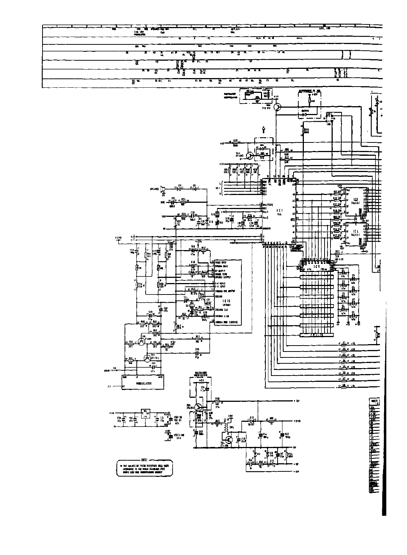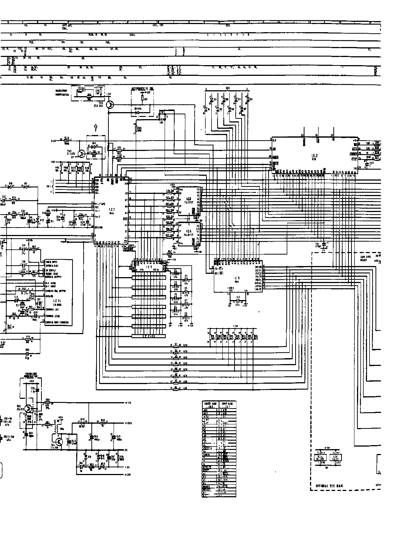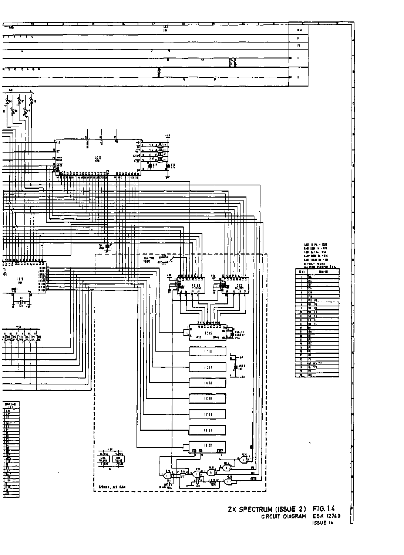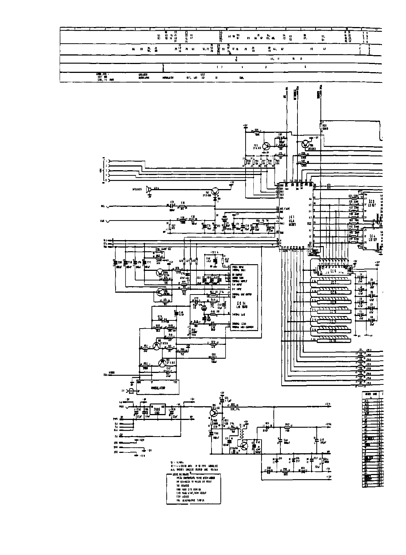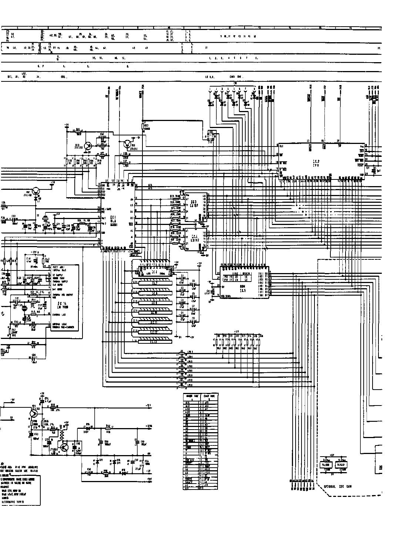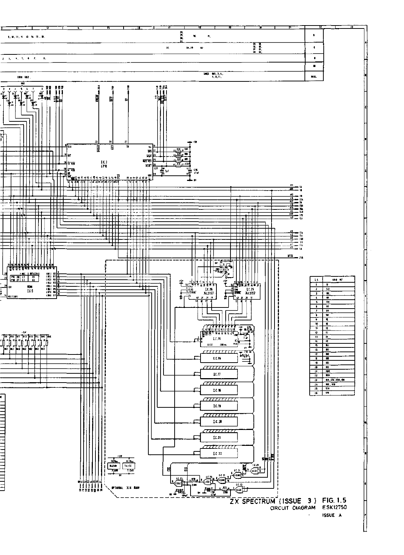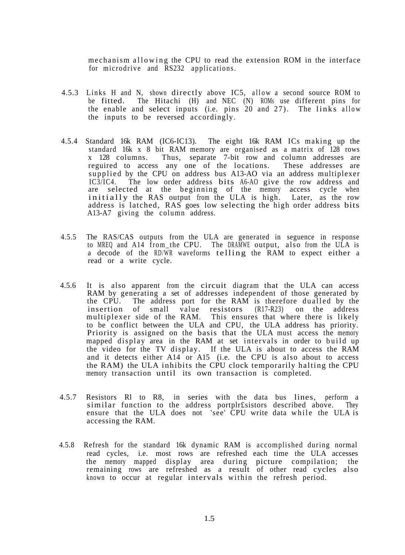mechanism allowing the CPU to read the extension ROM in the interface for microdrive and RS232 applications.

- 4.5.3 Links H and N, shown directly above IC5, allow a second source ROM to be fitted. The Hitachi (H) and NEC (N) ROMs use different pins for the enable and select inputs (i.e. pins 20 and 27). The links allow the inputs to be reversed accordingly.
- 4.5.4 Standard 16k RAM (IC6-IC13). The eight 16k RAM ICs making up the standard 16k x 8 bit RAM memory are organised as a matrix of 128 rows x 128 columns. Thus, separate 7-bit row and column addresses are reguired to access any one of the locations. These addresses are supplied by the CPU on address bus A13-AO via an address multiplexer IC3/IC4. The low order address bits A6-AO give the row address and are selected at the beginning of the memory access cycle when initially the RAS output from the ULA is high. Later, as the row address is latched, RAS goes low selecting the high order address bits A13-A7 giving the column address.
- 4.5.5 The RAS/CAS outputs from the ULA are generated in seguence in response to MREQ and A14 from\_the CPU. The DRAMWE output, also from the ULA is a decode of the RD/WR waveforms telling the RAM to expect either a read or a write cycle.
- 4.5.6 It is also apparent from the circuit diagram that the ULA can access RAM by generating a set of addresses independent of those generated by the CPU. The address port for the RAM is therefore dualled by the The address port for the RAM is therefore dualled by the insertion of small value resistors (R17-R23) on the address multiplexer side of the RAM. This ensures that where there is likely to be conflict between the ULA and CPU, the ULA address has priority. Priority is assigned on the basis that the ULA must access the memory mapped display area in the RAM at set intervals in order to build up the video for the TV display. If the ULA is about to access the RAM and it detects either A14 or A15 (i.e. the CPU is also about to access the RAM) the ULA inhibits the CPU clock temporarily halting the CPU memory transaction until its own transaction is completed.
- 4.5.7 Resistors Rl to R8, in series with the data bus lines, perform a similar function to the address portplr£sistors described above. They ensure that the ULA does not 'see' CPU write data while the ULA is accessing the RAM.
- 4.5.8 Refresh for the standard 16k dynamic RAM is accomplished during normal read cycles, i.e. most rows are refreshed each time the ULA accesses the memory mapped display area during picture compilation; the remaining rows are refreshed as a result of other read cycles also known to occur at regular intervals within the refresh period.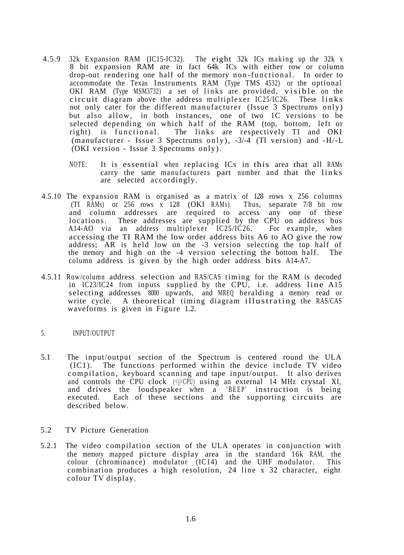- 4.5.9 32k Expansion RAM (IC15-IC32). The eight 32k ICs making up the 32k x 8 bit expansion RAM are in fact 64k ICs with either row or column drop-out rendering one half of the memory non-functional. In order to accommodate the Texas Instruments RAM (Type TMS 4532) or the optional OKI RAM (Type MSM3732) a set of links are provided, visible on the circuit diagram above the address multiplexer IC25/IC26. These links not only cater for the different manufacturer (Issue 3 Spectrums only) but also allow, in both instances, one of two 1C versions to be selected depending on which half of the RAM (top, bottom, left or right) is functional. The links are respectively TI and OKI (manufacturer - Issue 3 Spectrums only), -3/-4 (TI version) and -H/-L (OKI version - Issue 3 Spectrums only).
	- NOTE: It is essential when replacing ICs in this area that all RAMs carry the same manufacturers part number and that the links are selected accordingly.
- 4.5.10 The expansion RAM is organised as a matrix of 128 rows x 256 columns (TI RAMs) or 256 rows x 128 (OKI RAMs). Thus, separate 7/8 bit row and column addresses are required to access any one of these locations. These addresses are supplied by the CPU on address bus A14-AO via an address multiplexer IC25/IC26. For example, when accessing the TI RAM the low order address bits A6 to AO give the row address; AR is held low on the -3 version selecting the top half of the memory and high on the -4 version selecting the bottom half. The column address is given by the high order address bits A14-A7.
- 4.5.11 Row/column address selection and RAS/CAS timing for the RAM is decoded in IC23/IC24 from inputs supplied by the CPU, i.e. address line A15 selecting addresses 8000 upwards, and MREQ heralding a memory read or write cycle. A theoretical timing diagram illustrating the RAS/CAS waveforms is given in Figure 1.2.
- 5. INPUT/OUTPUT
- 5.1 The input/output section of the Spectrum is centered round the ULA  $(IC1)$ . The functions performed within the device include TV video compilation, keyboard scanning and tape input/output. It also derives and controls the CPU clock (<j>CPU) using an external 14 MHz crystal XI, and drives the loudspeaker when a 'BEEP' instruction is being executed. Each of these sections and the supporting circuits are described below.
- 5.2 TV Picture Generation
- 5.2.1 The video compilation section of the ULA operates in conjunction with the memory mapped picture display area in the standard 16k RAM, the colour (chrominance) modulator (IC14) and the UHF modulator. This combination produces a high resolution, 24 line x 32 character, eight colour TV display.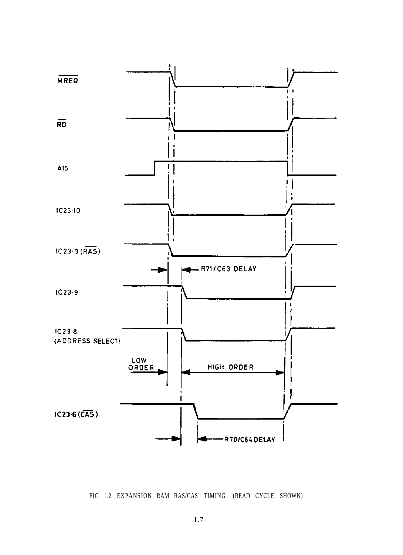

FIG 1.2 EXPANSION RAM RAS/CAS TIMING (READ CYCLE SHOWN)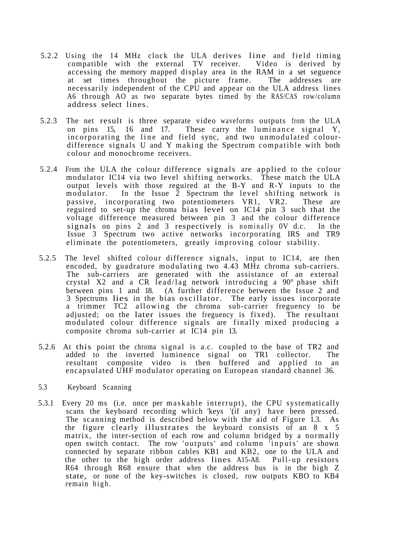- 5.2.2 Using the 14 MHz clock the ULA derives line and field timing compatible with the external TV receiver. Video is derived by accessing the memory mapped display area in the RAM in a set seguence at set times throughout the picture frame. The addresses are necessarily independent of the CPU and appear on the ULA address lines A6 through AO as two separate bytes timed by the RAS/CAS row/column address select lines.
- 5.2.3 The net result is three separate video waveforms outputs from the ULA on pins 15, 16 and 17. These carry the luminance signal Y, incorporating the line and field sync, and two unmodulated colourdifference signals U and Y making the Spectrum compatible with both colour and monochrome receivers.
- 5.2.4 From the ULA the colour difference signals are applied to the colour modulator IC14 via two level shifting networks. These match the ULA output levels with those reguired at the B-Y and R-Y inputs to the modulator. In the Issue  $\bar{2}$  Spectrum the level shifting network is passive, incorporating two potentiometers VR1, VR2. These are reguired to set-up the chroma bias level on IC14 pin 3 such that the voltage difference measured between pin 3 and the colour difference signals on pins 2 and 3 respectively is nominally 0V d.c. In the Issue 3 Spectrum two active networks incorporating IRS and TR9 eliminate the potentiometers, greatly improving colour stability.
- 5.2.5 The level shifted colour difference signals, input to IC14, are then encoded, by guadrature modulating two 4.43 MHz chroma sub-carriers. The sub-carriers are generated with the assistance of an external crystal  $X2$  and a CR lead/lag network introducing a  $90^{\circ}$  phase shift between pins 1 and 18. (A further difference between the Issue 2 and 3 Spectrums lies in the bias oscillator. The early issues incorporate a trimmer TC2 allowing the chroma sub-carrier freguency to be adjusted; on the later issues the freguency is fixed). The resultant modulated colour difference signals are finally mixed producing a composite chroma sub-carrier at IC14 pin 13.
- 5.2.6 At this point the chroma signal is a.c. coupled to the base of TR2 and added to the inverted luminence signal on TR1 collector. The resultant composite video is then buffered and applied to an encapsulated UHF modulator operating on European standard channel 36.
- 5.3 Keyboard Scanning
- 5.3.1 Every 20 ms (i.e. once per maskable interrupt), the CPU systematically scans the keyboard recording which 'keys '(if any) have been pressed. The scanning method is described below with the aid of Figure 1.3. As the figure clearly illustrates the keyboard consists of an 8 x 5 matrix, the inter-section of each row and column bridged by a normally open switch contact. The row 'outputs' and column 'inputs' are shown connected by separate ribbon cables KB1 and KB2, one to the ULA and the other to the high order address lines A15-A8. Pull-up resistors R64 through R68 ensure that when the address bus is in the high Z state, or none of the key-switches is closed, row outputs KBO to KB4 remain high.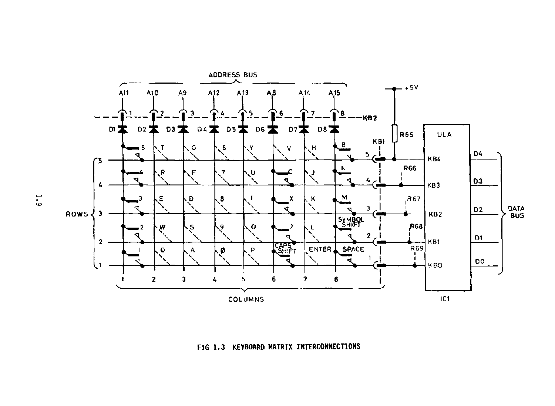

FIG 1.3 KEYBOARD MATRIX INTERCONNECTIONS

 $\frac{1}{6}$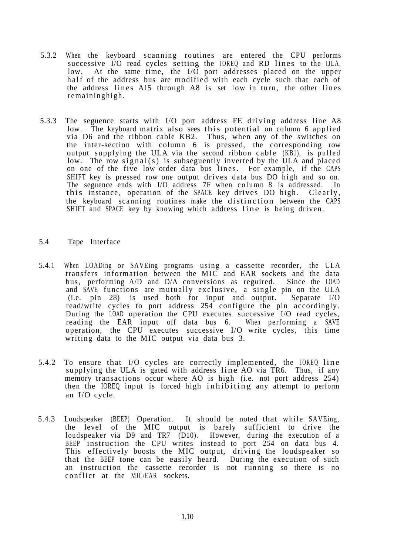- 5.3.2 When the keyboard scanning routines are entered the CPU performs successive I/O read cycles setting the IOREQ and RD lines to the IJLA, low. At the same time, the I/O port addresses placed on the upper half of the address bus are modified with each cycle such that each of the address lines A15 through A8 is set low in turn, the other lines remaininghigh.
- 5.3.3 The seguence starts with I/O port address FE driving address line A8 low. The keyboard matrix also sees this potential on column 6 applied via D6 and the ribbon cable KB2. Thus, when any of the switches on the inter-section with column 6 is pressed, the corresponding row output supplying the ULA via the second ribbon cable (KB1), is pulled low. The row signal(s) is subseguently inverted by the ULA and placed on one of the five low order data bus lines. For example, if the CAPS SHIFT key is pressed row one output drives data bus DO high and so on. The seguence ends with I/O address 7F when column 8 is addressed. In this instance, operation of the SPACE key drives DO high. Clearly, the keyboard scanning routines make the distinction between the CAPS SHIFT and SPACE key by knowing which address line is being driven.
- 5.4 Tape Interface
- 5.4.1 When LOADing or SAVEing programs using a cassette recorder, the ULA transfers information between the MIC and EAR sockets and the data bus, performing A/D and D/A conversions as reguired. Since the LOAD and SAVE functions are mutually exclusive, a single pin on the ULA (i.e. pin 28) is used both for input and output. Separate I/O read/write cycles to port address 254 configure the pin accordingly. During the LOAD operation the CPU executes successive I/O read cycles, reading the EAR input off data bus 6. When performing a SAVE operation, the CPU executes successive I/O write cycles, this time writing data to the MIC output via data bus 3.
- 5.4.2 To ensure that I/O cycles are correctly implemented, the IOREQ line supplying the ULA is gated with address line AO via TR6. Thus, if any memory transactions occur where AO is high (i.e. not port address 254) then the IOREQ input is forced high inhibiting any attempt to perform an I/O cycle.
- 5.4.3 Loudspeaker (BEEP) Operation. It should be noted that while SAVEing, the level of the MIC output is barely sufficient to drive the loudspeaker via D9 and TR7 (D10). However, during the execution of a BEEP instruction the CPU writes instead to port 254 on data bus 4. This effectively boosts the MIC output, driving the loudspeaker so that the BEEP tone can be easily heard. During the execution of such an instruction the cassette recorder is not running so there is no conflict at the MIC/EAR sockets.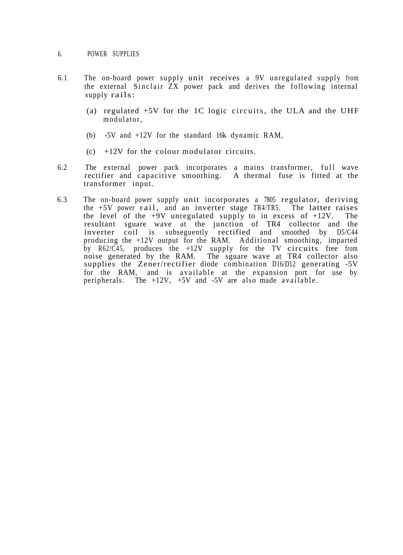## 6. POWER SUPPLIES

- 6.1 The on-board power supply unit receives a 9V unregulated supply from the external Sinclair ZX power pack and derives the following internal supply rails:
	- (a) regulated +5V for the 1C logic circuits, the ULA and the UHF modulator,
	- (b) -5V and +12V for the standard 16k dynamic RAM,
	- (c)  $+12V$  for the colour modulator circuits.
- 6.2 The external power pack incorporates a mains transformer, full wave rectifier and capacitive smoothing. A thermal fuse is fitted at the transformer input.
- 6.3 The on-board power supply unit incorporates a 7805 regulator, deriving the +5V power rail, and an inverter stage TR4/TR5. The latter raises the level of the  $+9V$  unregulated supply to in excess of  $+12V$ . The resultant sguare wave at the junction of TR4 collector and the inverter coil is subseguently rectified and smoothed by D5/C44 producing the +12V output for the RAM. Additional smoothing, imparted by R62/C45, produces the +12V supply for the TV circuits free from noise generated by the RAM. The sguare wave at TR4 collector also The sguare wave at TR4 collector also supplies the Zener/rectifier diode combination D16/D12 generating -5V for the RAM, and is available at the expansion port for use by peripherals. The  $+12V$ ,  $+5V$  and  $-5V$  are also made available.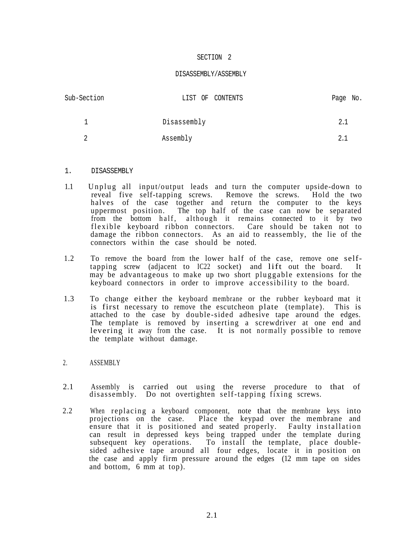#### SECTION 2

#### DISASSEMBLY/ASSEMBLY

| Sub-Section | CONTENTS<br>LIST OF | Page No. |
|-------------|---------------------|----------|
|             | Disassembly         | 2.1      |
|             | Assembly            | 2.1      |

- 1. DISASSEMBLY
- 1.1 Unplug all input/output leads and turn the computer upside-down to reveal five self-tapping screws. Remove the screws. Hold the two halves of the case together and return the computer to the keys uppermost position. The top half of the case can now be separated from the bottom half, although it remains connected to it by two flexible keyboard ribbon connectors. Care should be taken not to damage the ribbon connectors. As an aid to reassembly, the lie of the connectors within the case should be noted.
- 1.2 To remove the board from the lower half of the case, remove one selftapping screw (adjacent to IC22 socket) and lift out the board. It may be advantageous to make up two short pluggable extensions for the keyboard connectors in order to improve accessibility to the board.
- 1.3 To change either the keyboard membrane or the rubber keyboard mat it is first necessary to remove the escutcheon plate (template). This is attached to the case by double-sided adhesive tape around the edges. The template is removed by inserting a screwdriver at one end and levering it away from the case. It is not normally possible to remove the template without damage.
- 2. ASSEMBLY
- 2.1 Assembly is carried out using the reverse procedure to that of disassembly. Do not overtighten self-tapping fixing screws.
- 2.2 When replacing a keyboard component, note that the membrane keys into projections on the case. Place the keypad over the membrane and ensure that it is positioned and seated properly. Faulty installation can result in depressed keys being trapped under the template during subsequent key operations. To install the template, place doublesided adhesive tape around all four edges, locate it in position on the case and apply firm pressure around the edges (12 mm tape on sides and bottom, 6 mm at top).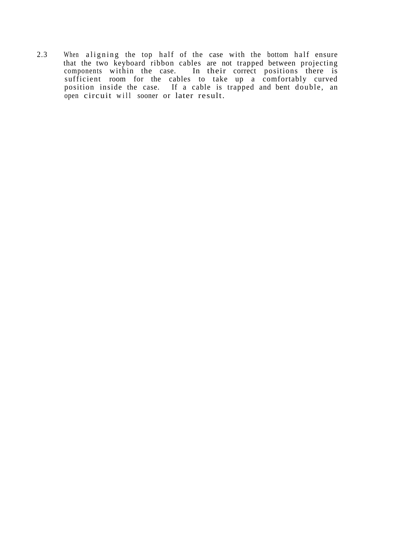2.3 When aligning the top half of the case with the bottom half ensure that the two keyboard ribbon cables are not trapped between projecting components within the case. In their correct positions there is sufficient room for the cables to take up a comfortably curved position inside the case. If a cable is trapped and bent double, an open circuit will sooner or later result.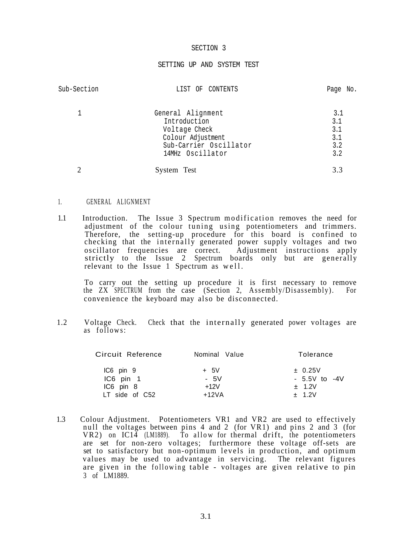#### SECTION 3

#### SETTING UP AND SYSTEM TEST

| Sub-Section | LIST OF CONTENTS       | Page No. |
|-------------|------------------------|----------|
|             | General Alignment      | 3.1      |
|             | Introduction           | 3.1      |
|             | Voltage Check          | 3.1      |
|             | Colour Adjustment      | 3.1      |
|             | Sub-Carrier Oscillator | 3.2      |
|             | 14MHz Oscillator       | 3.2      |
|             | System Test            | 3.3      |

#### 1. GENERAL ALIGNMENT

1.1 Introduction. The Issue 3 Spectrum modification removes the need for adjustment of the colour tuning using potentiometers and trimmers. Therefore, the setting-up procedure for this board is confined to checking that the internally generated power supply voltages and two oscillator frequencies are correct. Adjustment instructions apply strictly to the Issue 2 Spectrum boards only but are generally relevant to the Issue 1 Spectrum as well.

To carry out the setting up procedure it is first necessary to remove the ZX SPECTRUM from the case (Section 2, Assembly/Disassembly). For convenience the keyboard may also be disconnected.

1.2 Voltage Check. Check that the internally generated power voltages are as follows:

| Circuit Reference | Nominal Value | Tolerance        |
|-------------------|---------------|------------------|
| IC6 pin 9         | + 5V          | $\pm$ 0.25V      |
| IC6 pin 1         | - 5V          | $-5.5V$ to $-4V$ |
| IC6 pin 8         | $+12V$        | $+$ 1.2V         |
| LT side of C52    | $+12VA$       | $+ 12V$          |

1.3 Colour Adjustment. Potentiometers VR1 and VR2 are used to effectively null the voltages between pins 4 and 2 (for VR1) and pins 2 and 3 (for  $VR2$ ) on  $IC14$  (LM1889). To allow for thermal drift, the potentiometers are set for non-zero voltages; furthermore these voltage off-sets are set to satisfactory but non-optimum levels in production, and optimum values may be used to advantage in servicing. The relevant figures are given in the following table - voltages are given relative to pin 3 of LM1889.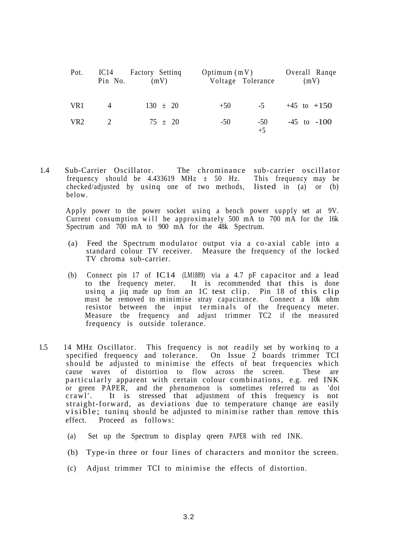| Pot.            | Pin No.        | IC14 Factory Setting<br>(mV) | Voltage Tolerance |               | Optimum (mV) Overall Range<br>(mV) |
|-----------------|----------------|------------------------------|-------------------|---------------|------------------------------------|
| VR1             | $\overline{4}$ | $130 \pm 20$                 | $+50$             |               | $-5$ $+45$ to $+150$               |
| VR <sub>2</sub> | 2              | $75 \pm 20$                  | $-50$             | $-50$<br>$+5$ | $-45$ to $-100$                    |

1.4 Sub-Carrier Oscillator. The chrominance sub-carrier oscillator frequency should be 4.433619 MHz  $\pm$  50 Hz. This frequency may be checked/adjusted by usinq one of two methods, listed in (a) or (b) below.

Apply power to the power socket usinq a bench power supply set at 9V. Current consumption will be approximately 500 mA to 700 mA for the 16k Spectrum and 700 mA to 900 mA for the 48k Spectrum.

- (a) Feed the Spectrum modulator output via a co-axial cable into a standard colour TV receiver. Measure the frequency of the locked TV chroma sub-carrier.
- (b) Connect pin 17 of IC14 (LM1889) via a 4.7 pF capacitor and a lead to the frequency meter. It is recommended that this is done usinq a jiq made up from an 1C test clip. Pin 18 of this clip must be removed to minimise stray capacitance. Connect a 10k ohm resistor between the input terminals of the frequency meter. Measure the frequency and adjust trimmer TC2 if the measured frequency is outside tolerance.
- 1.5 14 MHz Oscillator. This frequency is not readily set by workinq to a specified frequency and tolerance. On Issue 2 boards trimmer TCI should be adjusted to minimise the effects of beat frequencies which cause waves of distortion to flow across the screen. These are particularly apparent with certain colour combinations, e.g. red INK or green PAPER, and the phenomenon is sometimes referred to as 'dot crawl'. It is stressed that adjustment of this frequency is not straight-forward, as deviations due to temperature chanqe are easily visible; tuning should be adjusted to minimise rather than remove this effect. Proceed as follows:
	- (a) Set up the Spectrum to display qreen PAPER with red INK.
	- (b) Type-in three or four lines of characters and monitor the screen.
	- (c) Adjust trimmer TCI to minimise the effects of distortion.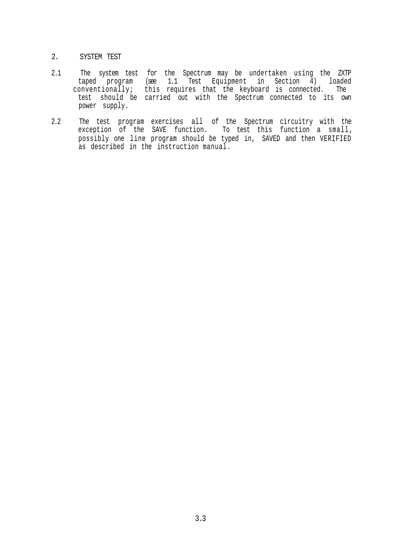## 2. SYSTEM TEST

- 2.1 The system test for the Spectrum may be undertaken using the ZXTP taped program (see 1.1 Test Equipment in Section 4) loaded conventionally; this requires that the keyboard is connected. The test should be carried out with the Spectrum connected to its own power supply.
- 2.2 The test program exercises all of the Spectrum circuitry with the exception of the SAVE function. To test this function a small, possibly one line program should be typed in, SAVED and then VERIFIED as described in the instruction manual.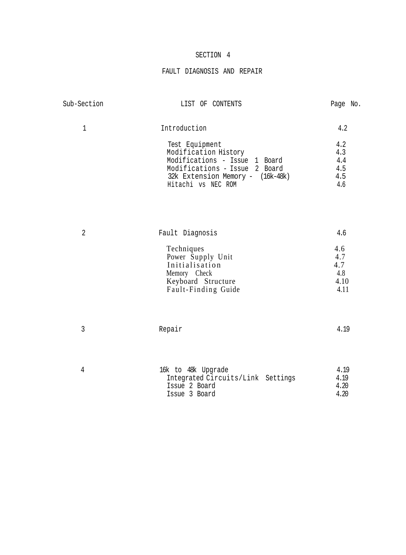# SECTION 4

# FAULT DIAGNOSIS AND REPAIR

| Sub-Section    | LIST OF CONTENTS                                                  | Page No.     |
|----------------|-------------------------------------------------------------------|--------------|
| $\mathbf 1$    | Introduction                                                      | 4.2          |
|                | Test Equipment<br>Modification History                            | 4.2<br>4.3   |
|                | Modifications - Issue 1 Board                                     | 4.4<br>4.5   |
|                | Modifications - Issue 2 Board<br>32k Extension Memory - (16k-48k) | 4.5          |
|                | Hitachi vs NEC ROM                                                | 4.6          |
|                |                                                                   |              |
| $\overline{2}$ | Fault Diagnosis                                                   | 4.6          |
|                | Techniques                                                        | 4.6          |
|                | Power Supply Unit<br>Initialisation                               | 4.7<br>4.7   |
|                | Memory Check<br>Keyboard Structure                                | 4.8<br>4.10  |
|                | Fault-Finding Guide                                               | 4.11         |
|                |                                                                   |              |
| $\overline{3}$ | Repair                                                            | 4.19         |
|                |                                                                   |              |
| $\overline{4}$ | 16k to 48k Upgrade                                                | 4.19         |
|                | Integrated Circuits/Link Settings                                 | 4.19         |
|                | Issue 2 Board<br>Issue 3 Board                                    | 4.20<br>4.20 |
|                |                                                                   |              |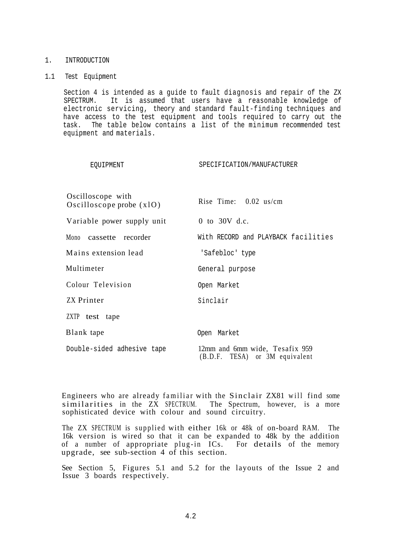#### 1. INTRODUCTION

# 1.1 Test Equipment

Section 4 is intended as a guide to fault diagnosis and repair of the ZX SPECTRUM. It is assumed that users have a reasonable knowledge of electronic servicing, theory and standard fault-finding techniques and have access to the test equipment and tools required to carry out the task. The table below contains a list of the minimum recommended test equipment and materials.

EQUIPMENT Oscilloscope with Oscilloscope probe (xlO) Variable power supply unit Mono cassette recorder Mains extension lead Multimeter Colour Television ZX Printer ZXTP test tape Blank tape Double-sided adhesive tape SPECIFICATION/MANUFACTURER Rise Time: 0.02 us/cm 0 to 30V d.c. With RECORD and PLAYBACK facilities 'Safebloc' type General purpose Open Market Sinclair Open Market 12mm and 6mm wide, Tesafix 959 (B.D.F. TESA) or 3M equivalent

Engineers who are already familiar with the Sinclair ZX81 will find some similarities in the ZX SPECTRUM. The Spectrum, however, is a more sophisticated device with colour and sound circuitry.

The ZX SPECTRUM is supplied with either 16k or 48k of on-board RAM. The 16k version is wired so that it can be expanded to 48k by the addition of a number of appropriate plug-in ICs. For details of the memory upgrade, see sub-section 4 of this section.

See Section 5, Figures 5.1 and 5.2 for the layouts of the Issue 2 and Issue 3 boards respectively.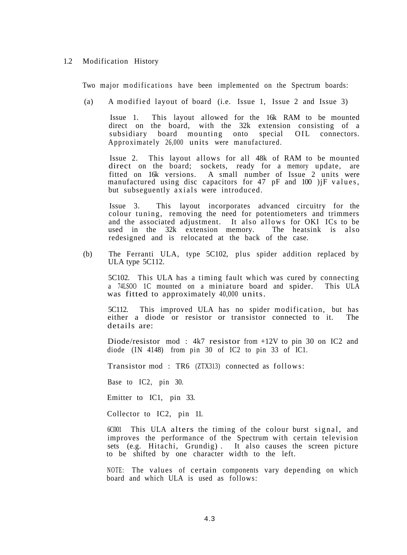## 1.2 Modification History

Two major modifications have been implemented on the Spectrum boards:

(a) A modified layout of board (i.e. Issue 1, Issue 2 and Issue 3)

Issue 1. This layout allowed for the 16k RAM to be mounted direct on the board, with the 32k extension consisting of a subsidiary board mounting onto special OIL connectors. Approximately 26,000 units were manufactured.

Issue 2. This layout allows for all 48k of RAM to be mounted direct on the board; sockets, ready for a memory update, are fitted on 16k versions. A small number of Issue 2 units were manufactured using disc capacitors for 47 pF and 100 )jF values, but subseguently axials were introduced.

Issue 3. This layout incorporates advanced circuitry for the colour tuning, removing the need for potentiometers and trimmers and the associated adjustment. It also allows for OKI ICs to be used in the 32k extension memory. The heatsink is also redesigned and is relocated at the back of the case.

(b) The Ferranti ULA, type 5C102, plus spider addition replaced by ULA type 5C112.

5C102. This ULA has a timing fault which was cured by connecting a 74LSOO 1C mounted on a miniature board and spider. This ULA was fitted to approximately 40,000 units.

5C112. This improved ULA has no spider modification, but has either a diode or resistor or transistor connected to it. The either a diode or resistor or transistor connected to it. details are:

Diode/resistor mod : 4k7 resistor from +12V to pin 30 on IC2 and diode (IN 4148) from pin 30 of IC2 to pin 33 of IC1.

Transistor mod : TR6 (ZTX313) connected as follows:

Base to IC2, pin 30.

Emitter to IC1, pin 33.

Collector to IC2, pin 11.

6C001 This ULA alters the timing of the colour burst signal, and improves the performance of the Spectrum with certain television sets (e.g. Hitachi, Grundig) . It also causes the screen picture to be shifted by one character width to the left.

NOTE: The values of certain components vary depending on which board and which ULA is used as follows: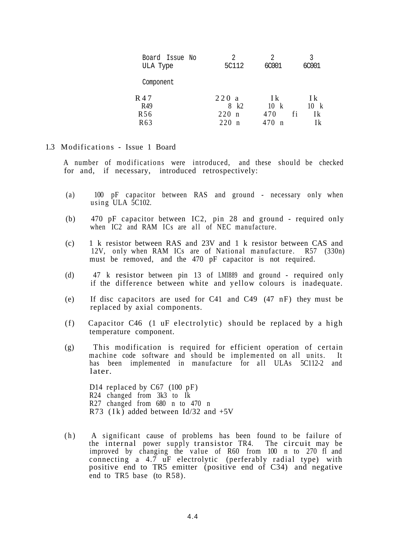| Board Issue No<br>ULA Type                       | 2<br>5C112                                             | 2<br>6C001                     | 6C001                         |
|--------------------------------------------------|--------------------------------------------------------|--------------------------------|-------------------------------|
| Component                                        |                                                        |                                |                               |
| R47<br>R49<br>R <sub>56</sub><br>R <sub>63</sub> | 220a<br>8 k2<br>220 <sub>n</sub><br>220<br>$\mathbf n$ | I k<br>10 k<br>470<br>470<br>n | I k<br>10 k<br>fi<br>Ιk<br>Ik |

### 1.3 Modifications - Issue 1 Board

A number of modifications were introduced, and these should be checked for and, if necessary, introduced retrospectively:

- (a) 100 pF capacitor between RAS and ground necessary only when using ULA 5C102.
- (b) 470 pF capacitor between IC2, pin 28 and ground required only when IC2 and RAM ICs are all of NEC manufacture.
- (c) 1 k resistor between RAS and 23V and 1 k resistor between CAS and 12V, only when RAM ICs are of National manufacture.  $R57$  (330n) must be removed, and the 470 pF capacitor is not required.
- (d) 47 k resistor between pin 13 of LMI889 and ground required only if the difference between white and yellow colours is inadequate.
- (e) If disc capacitors are used for C41 and C49 (47 nF) they must be replaced by axial components.
- (f) Capacitor C46 (1 uF electrolytic) should be replaced by a high temperature component.
- (g) This modification is required for efficient operation of certain machine code software and should be implemented on all units. It has been implemented in manufacture for all ULAs 5C112-2 and later.

D14 replaced by C67 (100 pF) R24 changed from 3k3 to Ik R27 changed from 680 n to 470 n R73 (Ik) added between Id/32 and  $+5V$ 

(h) A significant cause of problems has been found to be failure of the internal power supply transistor TR4. The circuit may be improved by changing the value of R60 from 100 n to 270 fl and connecting a 4.7 uF electrolytic (perferably radial type) with positive end to TR5 emitter (positive end of C34) and negative end to TR5 base (to R58).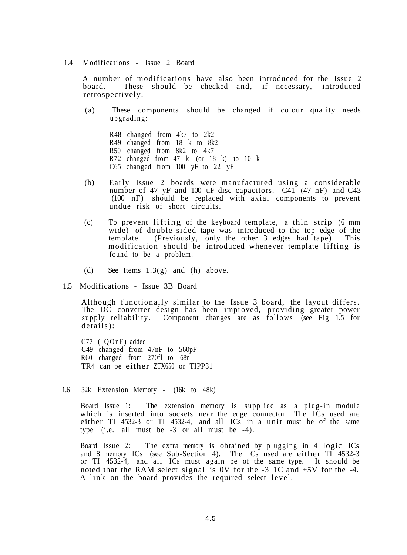1.4 Modifications - Issue 2 Board

A number of modifications have also been introduced for the Issue 2 board. These should be checked and, if necessary, introduced retrospectively.

(a) These components should be changed if colour quality needs upgrading :

R48 changed from 4k7 to 2k2 R49 changed from 18 k to 8k2 R50 changed from 8k2 to 4k7 R72 changed from 47 k (or 18 k) to 10 k C65 changed from 100 yF to 22 yF

- (b) Early Issue 2 boards were manufactured using a considerable number of 47 yF and 100 uF disc capacitors. C41 (47 nF) and C43 (100 nF) should be replaced with axial components to prevent undue risk of short circuits.
- (c) To prevent lifting of the keyboard template, a thin strip (6 mm wide) of double-sided tape was introduced to the top edge of the template. (Previously, only the other 3 edges had tape). This modification should be introduced whenever template lifting is found to be a problem.
- (d) See Items  $1.3(g)$  and (h) above.
- 1.5 Modifications Issue 3B Board

Although functionally similar to the Issue 3 board, the layout differs. The DC converter design has been improved, providing greater power supply reliability. Component changes are as follows (see Fig 1.5 for details):

 $C77$  ( $IOOnF$ ) added C49 changed from 47nF to 560pF R60 changed from 270fl to 68n TR4 can be either ZTX650 or TIPP31

1.6 32k Extension Memory - (16k to 48k)

Board Issue 1: The extension memory is supplied as a plug-in module which is inserted into sockets near the edge connector. The ICs used are either TI 4532-3 or TI 4532-4, and all ICs in a unit must be of the same type (i.e. all must be -3 or all must be -4).

Board Issue 2: The extra memory is obtained by plugging in 4 logic ICs and 8 memory ICs (see Sub-Section 4). The ICs used are either TI 4532-3 or TI 4532-4, and all ICs must again be of the same type. It should be noted that the RAM select signal is 0V for the -3 1C and +5V for the -4. A link on the board provides the required select level.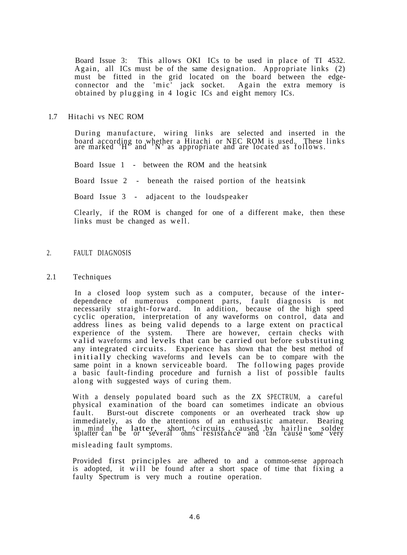Board Issue 3: This allows OKI ICs to be used in place of TI 4532. Again, all ICs must be of the same designation. Appropriate links (2) must be fitted in the grid located on the board between the edgeconnector and the 'mic' jack socket. Again the extra memory is obtained by plugging in 4 logic ICs and eight memory ICs.

# 1.7 Hitachi vs NEC ROM

During manufacture, wiring links are selected and inserted in the board according to whether a Hitachi or NEC ROM is used. These links are marked 'H' and 'N ' as appropriate and are located as follows.

Board Issue 1 - between the ROM and the heat sink

Board Issue 2 - beneath the raised portion of the heatsink

Board Issue 3 - adjacent to the loudspeaker

Clearly, if the ROM is changed for one of a different make, then these links must be changed as well.

# 2. FAULT DIAGNOSIS

# 2.1 Techniques

In a closed loop system such as a computer, because of the interdependence of numerous component parts, fault diagnosis is not necessarily straight-forward. In addition, because of the high speed cyclic operation, interpretation of any waveforms on control, data and address lines as being valid depends to a large extent on practical experience of the system. There are however, certain checks with There are however, certain checks with valid waveforms and levels that can be carried out before substituting any integrated circuits. Experience has shown that the best method of initially checking waveforms and levels can be to compare with the same point in a known serviceable board. The following pages provide a basic fault-finding procedure and furnish a list of possible faults along with suggested ways of curing them.

With a densely populated board such as the ZX SPECTRUM, a careful physical examination of the board can sometimes indicate an obvious fault. Burst-out discrete components or an overheated track show up immediately, as do the attentions of an enthusiastic amateur. Bearing in mind the latter, short ^circuits , caused ,by hairline solder splatter can be or several ohms resistance and can cause some very misleading fault symptoms.

Provided first principles are adhered to and a common-sense approach is adopted, it will be found after a short space of time that fixing a faulty Spectrum is very much a routine operation.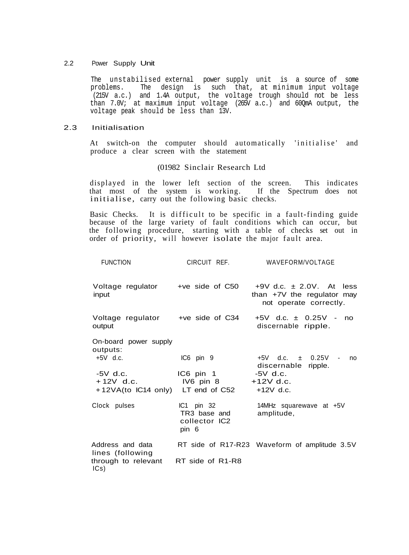## 2.2 Power Supply Unit

The unstabilised external power supply unit is a source of some problems. The design is such that, at minimum input voltage (215V a.c.) and 1.4A output, the voltage trough should not be less than 7.0V; at maximum input voltage (265V a.c.) and 60QmA output, the voltage peak should be less than 13V.

## 2.3 Initialisation

At switch-on the computer should automatically 'initialise' and produce a clear screen with the statement

# (01982 Sinclair Research Ltd

displayed in the lower left section of the screen. This indicates that most of the system is working. If the Spectrum does not initialise, carry out the following basic checks.

Basic Checks. It is difficult to be specific in a fault-finding guide because of the large variety of fault conditions which can occur, but the following procedure, starting with a table of checks set out in order of priority, will however isolate the major fault area.

| <b>FUNCTION</b>                                                                      | CIRCUIT REF.                                           | WAVEFORM/VOLTAGE                                                                          |
|--------------------------------------------------------------------------------------|--------------------------------------------------------|-------------------------------------------------------------------------------------------|
| Voltage regulator +ve side of C50<br>input                                           |                                                        | $+9V$ d.c. $\pm 2.0V$ . At less<br>than $+7V$ the regulator may<br>not operate correctly. |
| Voltage regulator<br>output                                                          | +ve side of C34                                        | $+5V$ d.c. $\pm$ 0.25V - no<br>discernable ripple.                                        |
| On-board power supply<br>outputs:<br>$+5V$ d.c.                                      | IC6 pin 9                                              | $+5V$ d.c. $\pm$ 0.25V -<br>no<br>discernable ripple.                                     |
| $-5V$ d.c.<br>$+12V$ d.c.<br>+12VA(to IC14 only) LT end of C52                       | IC6 pin 1 -5V d.c.<br>$IV6$ pin 8 $+12V$ d.c.          | $+12V$ d.c.                                                                               |
| Clock pulses                                                                         | $IC1$ pin 32<br>TR3 base and<br>collector IC2<br>pin 6 | 14MHz squarewave at +5V<br>amplitude,                                                     |
| Address and data<br>lines (following<br>through to relevant RT side of R1-R8<br>ICs) |                                                        | RT side of R17-R23 Waveform of amplitude 3.5V                                             |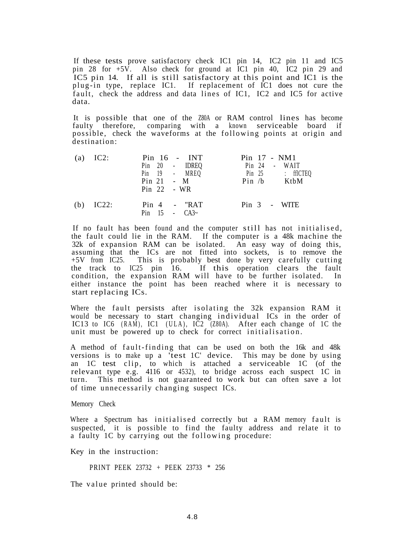If these tests prove satisfactory check IC1 pin 14, IC2 pin 11 and IC5 pin 28 for +5V. Also check for ground at IC1 pin 40, IC2 pin 29 and IC5 pin 14. If all is still satisfactory at this point and IC1 is the plug-in type, replace IC1. If replacement of IC1 does not cure the fault, check the address and data lines of IC1, IC2 and IC5 for active data.

It is possible that one of the Z80A or RAM control lines has become faulty therefore, comparing with a known serviceable board if possible, check the waveforms at the following points at origin and destination:

| (a) IC2:    | $Pin$ 22 - WR   | Pin 16 - INT<br>Pin 20 - IDREQ<br>Pin 19 - MREQ<br>$Pin 21 - M$ |  | Pin $17$ - NM1<br>Pin 24 - WAIT<br>Pin 25 : fflCTEQ<br>Pin /b KtbM |
|-------------|-----------------|-----------------------------------------------------------------|--|--------------------------------------------------------------------|
| $(b)$ IC22: | Pin $15$ - CA3~ | Pin 4 - "RAT                                                    |  | Pin 3 - WITE                                                       |

If no fault has been found and the computer still has not initialised, the fault could lie in the RAM. If the computer is a 48k machine the 32k of expansion RAM can be isolated. An easy way of doing this, assuming that the ICs are not fitted into sockets, is to remove the  $+5V$  from IC25. This is probably best done by very carefully cutting This is probably best done by very carefully cutting the track to IC25 pin 16. If this operation clears the fault condition, the expansion RAM will have to be further isolated. In either instance the point has been reached where it is necessary to start replacing ICs.

Where the fault persists after isolating the  $32k$  expansion RAM it would be necessary to start changing individual ICs in the order of IC13 to IC6  $(RAM)$ , IC1  $(ULA)$ , IC2  $(Z80A)$ . After each change of 1C the unit must be powered up to check for correct initialisation .

A method of fault-finding that can be used on both the 16k and 48k versions is to make up a 'test 1C' device. This may be done by using an 1C test clip, to which is attached a serviceable 1C (of the relevant type e.g. 4116 or 4532), to bridge across each suspect 1C in turn. This method is not guaranteed to work but can often save a lot of time unnecessarily changing suspect ICs.

Memory Check

Where a Spectrum has initialised correctly but a RAM memory fault is suspected, it is possible to find the faulty address and relate it to a faulty 1C by carrying out the following procedure:

Key in the instruction:

PRINT PEEK 23732 + PEEK 23733 \* 256

The value printed should be: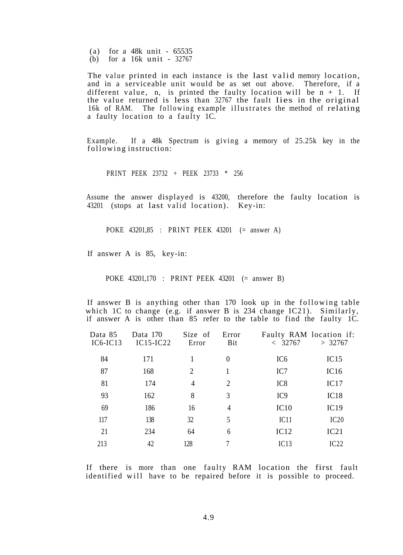(a) for a 48k unit - 65535  $(b)$  for a 16k unit - 32767

The value printed in each instance is the last valid memory location, and in a serviceable unit would be as set out above. Therefore, if a different value, n, is printed the faulty location will be  $n + 1$ . If the value returned is less than 32767 the fault lies in the original 16k of RAM. The following example illustrates the method of relating a faulty location to a faulty 1C.

Example. If a  $48k$  Spectrum is giving a memory of  $25.25k$  key in the following instruction:

PRINT PEEK 23732 + PEEK 23733 \* 256

Assume the answer displayed is 43200, therefore the faulty location is 43201 (stops at last valid location). Key-in:

POKE 43201,85 : PRINT PEEK 43201 (= answer A)

If answer A is 85, key-in:

POKE 43201,170 : PRINT PEEK 43201 (= answer B)

If answer B is anything other than 170 look up in the following table which 1C to change (e.g. if answer B is 234 change IC21). Similarly, if answer A is other than 85 refer to the table to find the faulty 1C.

| Data 85<br>$IC6-IC13$ | Data 170<br>$IC15-IC22$ | Size of<br>Error | Error<br>Bit   | Faulty RAM location if:<br>< 32767 | > 32767 |
|-----------------------|-------------------------|------------------|----------------|------------------------------------|---------|
| 84                    | 171                     |                  | $\theta$       | IC <sub>6</sub>                    | IC15    |
| 87                    | 168                     | 2                |                | IC7                                | IC16    |
| 81                    | 174                     | 4                | 2              | IC <sub>8</sub>                    | IC17    |
| 93                    | 162                     | 8                | 3              | IC <sub>9</sub>                    | IC18    |
| 69                    | 186                     | 16               | $\overline{4}$ | IC10                               | IC19    |
| 117                   | 138                     | 32               | 5              | IC11                               | IC20    |
| 21                    | 234                     | 64               | 6              | IC12                               | IC21    |
| 213                   | 42                      | 128              |                | IC13                               | IC22    |

If there is more than one faulty RAM location the first fault identified will have to be repaired before it is possible to proceed.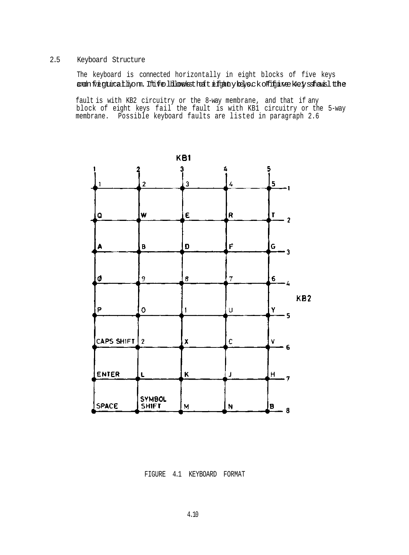## 2.5 Keyboard Structure

The keyboard is connected horizontally in eight blocks of five keys anch frigtically m. If if e l blows that tighty keys ckoffigive keys faxis 1 the

fault is with KB2 circuitry or the 8-way membrane, and that if any block of eight keys fail the fault is with KB1 circuitry or the 5-way membrane. Possible keyboard faults are listed in paragraph 2.6



FIGURE 4.1 KEYBOARD FORMAT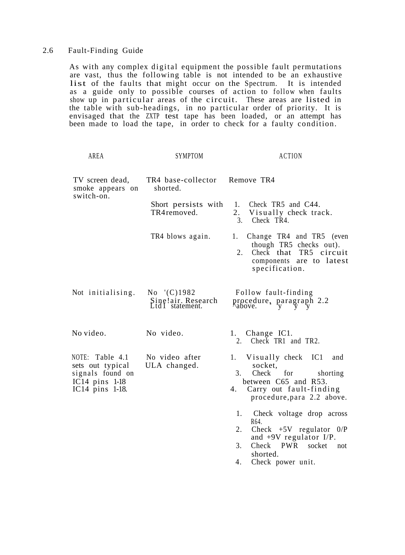# 2.6 Fault-Finding Guide

As with any complex digital equipment the possible fault permutations are vast, thus the following table is not intended to be an exhaustive list of the faults that might occur on the Spectrum. It is intended as a guide only to possible courses of action to follow when faults show up in particular areas of the circuit. These areas are listed in the table with sub-headings, in no particular order of priority. It is envisaged that the ZXTP test tape has been loaded, or an attempt has been made to load the tape, in order to check for a faulty condition.

| AREA                                                                                           | <b>SYMPTOM</b>                                         | <b>ACTION</b>                                                                                                                                                    |
|------------------------------------------------------------------------------------------------|--------------------------------------------------------|------------------------------------------------------------------------------------------------------------------------------------------------------------------|
| TV screen dead,<br>smoke appears on<br>switch-on.                                              | TR4 base-collector<br>shorted.                         | Remove TR4                                                                                                                                                       |
|                                                                                                | Short persists with<br>TR4removed.                     | Check TR5 and C44.<br>1.<br>Visually check track.<br>2.<br>Check TR4.<br>3.                                                                                      |
|                                                                                                | TR4 blows again.                                       | Change TR4 and TR5 (even<br>1.<br>though TR5 checks out).<br>Check that TR5 circuit<br>2.<br>components are to latest<br>specification.                          |
| Not initialising.                                                                              | No $(C)$ 1982<br>Sine!air. Research<br>Ltd1 statement. | Follow fault-finding<br>procedure, paragraph 2.2<br>Aabove.                                                                                                      |
| No video.                                                                                      | No video.                                              | 1. Change IC1.<br>2. Check TR1 and TR2.                                                                                                                          |
| NOTE: Table 4.1<br>sets out typical<br>signals found on<br>IC14 pins $1-18$<br>IC14 pins 1-18. | No video after<br>ULA changed.                         | 1. Visually check IC1<br>and<br>socket,<br>3.<br>for<br>Check<br>shorting<br>between C65 and R53.<br>Carry out fault-finding<br>4.<br>procedure, para 2.2 above. |
|                                                                                                |                                                        | 1.<br>Check voltage drop across<br>R64.<br>Check $+5V$ regulator $0/P$<br>2.<br>and +9V regulator I/P.<br>Check PWR socket<br>3.<br>not<br>shorted.              |

4. Check power unit.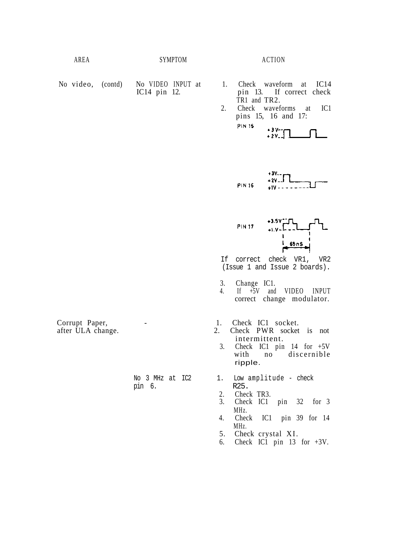| AREA                                |                                   | SYMPTOM | <b>ACTION</b>                                                                                                                                                                                                  |
|-------------------------------------|-----------------------------------|---------|----------------------------------------------------------------------------------------------------------------------------------------------------------------------------------------------------------------|
| No video, (contd)                   | No VIDEO INPUT at<br>IC14 pin 12. |         | 1. Check waveform at IC14<br>pin 13. If correct check<br>TR1 and TR2.<br>Check waveforms at<br>2.<br>IC <sub>1</sub><br>pins 15, 16 and 17:<br><b>PIN 15</b><br>$^{\ast 3}$ $^{\vee}$ $\Box$                   |
|                                     |                                   |         | +3V._<br><b>PIN 16</b>                                                                                                                                                                                         |
|                                     |                                   |         | +3.5 V<br><b>PIN 17</b><br>$+1.1 -$<br>65 n S                                                                                                                                                                  |
|                                     |                                   |         | If correct check VR1, VR2<br>(Issue 1 and Issue 2 boards).                                                                                                                                                     |
|                                     |                                   |         | Change IC1.<br>3.<br>4.<br>If $+5V$ and VIDEO INPUT<br>correct change modulator.                                                                                                                               |
| Corrupt Paper,<br>after ULA change. |                                   |         | Check IC1 socket.<br>1.<br>Check PWR socket is not<br>2.<br>intermittent.<br>Check IC1 pin $14$ for $+5V$<br>3.<br>with no discernible<br>ripple.                                                              |
|                                     | No 3 MHz at IC2<br>pin 6.         |         | Low amplitude - check<br>1.<br>R25.<br>Check TR3.<br>2.<br>Check IC1 pin 32 for 3<br>3.<br>MHz.<br>Check<br>IC1 pin $39$ for 14<br>4.<br>MHz.<br>Check crystal XI.<br>5.<br>Check IC1 pin 13 for $+3V$ .<br>6. |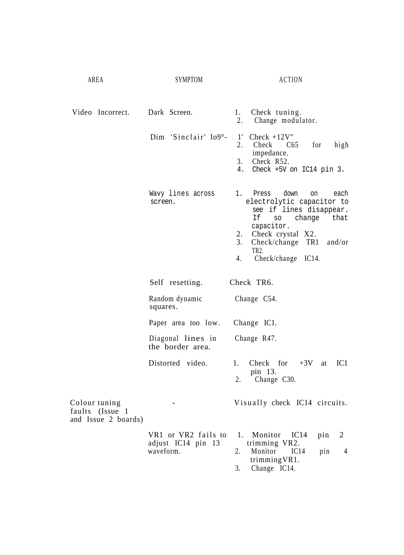| AREA                                                    | <b>SYMPTOM</b>                                         | <b>ACTION</b>                                                                                                                                                                                                                                        |  |  |  |  |
|---------------------------------------------------------|--------------------------------------------------------|------------------------------------------------------------------------------------------------------------------------------------------------------------------------------------------------------------------------------------------------------|--|--|--|--|
| Video Incorrect.                                        | Dark Screen.                                           | Check tuning.<br>1.<br>2.<br>Change modulator.                                                                                                                                                                                                       |  |  |  |  |
|                                                         | Dim 'Sinclair' Io9 <sup>o</sup> -                      | $1^{\prime}$<br>Check $+12V$ "<br>2.<br>Check<br>C65<br>for<br>high<br>impedance.<br>3.<br>Check R52.<br>4.<br>Check +5V on IC14 pin 3.                                                                                                              |  |  |  |  |
|                                                         | Wavy lines across<br>screen.                           | 1.<br>down<br>each<br>Press<br>on<br>electrolytic capacitor to<br>see if lines disappear.<br>Ιf<br>change<br>that<br>SO<br>capacitor.<br>Check crystal X2.<br>2.<br>Check/change TR1 and/or<br>3.<br>TR <sub>2</sub> .<br>4.<br>$Check/change$ IC14. |  |  |  |  |
|                                                         | Self resetting.                                        | Check TR6.                                                                                                                                                                                                                                           |  |  |  |  |
|                                                         | Random dynamic<br>squares.                             | Change C54.                                                                                                                                                                                                                                          |  |  |  |  |
|                                                         | Paper area too low.                                    | Change IC1.                                                                                                                                                                                                                                          |  |  |  |  |
|                                                         | Diagonal lines in<br>the border area.                  | Change R47.                                                                                                                                                                                                                                          |  |  |  |  |
|                                                         | Distorted video.                                       | Check for<br>IC <sub>1</sub><br>1.<br>$+3V$<br>at<br>pin 13.<br>2.<br>Change C30.                                                                                                                                                                    |  |  |  |  |
| Colour tuning<br>faults (Issue 1<br>and Issue 2 boards) |                                                        | Visually check IC14 circuits.                                                                                                                                                                                                                        |  |  |  |  |
|                                                         | VR1 or VR2 fails to<br>adjust IC14 pin 13<br>waveform. | Monitor<br>IC14<br>2<br>1.<br>pin<br>trimming VR2.<br>Monitor<br><b>IC14</b><br>2.<br>pin<br>4<br>trimming VR1.<br>Change IC14.<br>3.                                                                                                                |  |  |  |  |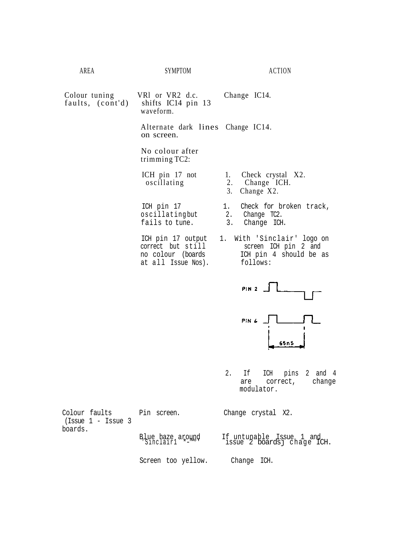Colour tuning VRl or VR2 d.c. Change IC14. faults, (cont'd) shifts IC14 pin 13 waveform. Alternate dark lines Change IC14. on screen. No colour after trimming TC2: ICH pin 17 not 1. Check crystal X2. oscillating 2. Change ICH. 3. Change X2. ICH pin 17 1. Check for broken track, oscillating but 2. Change TC2. fails to tune. 3. Change ICH. ICH pin 17 output 1. With 'Sinclair' logo on correct but still screen ICH pin 2 and no colour (boards ICH pin 4 should be as at all Issue Nos). follows:  $P/N$  2 PIN 4 65nS 2. If ICH pins 2 and 4 are correct, change modulator. Colour faults Pin screen. Change crystal X2. (Issue 1 - Issue 3 boards.

Blue haze around If untunable Issue 1 and 'Sinclair1 \*-™°' issue 2 boardsj chage ICH.

Screen too yellow. Change ICH.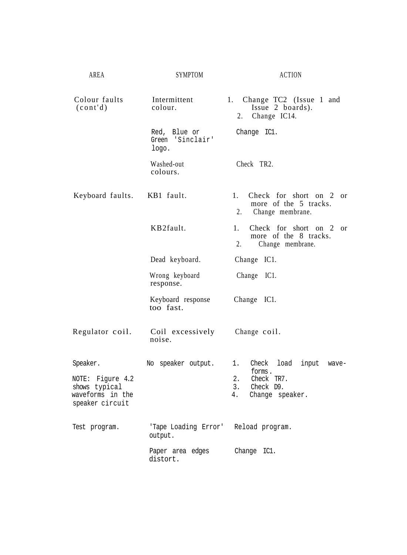| AREA                                                                                 | <b>SYMPTOM</b>                                  | <b>ACTION</b>                                                                                       |  |  |  |
|--------------------------------------------------------------------------------------|-------------------------------------------------|-----------------------------------------------------------------------------------------------------|--|--|--|
| Colour faults<br>(cont'd)                                                            | Intermittent<br>colour.                         | 1. Change TC2 (Issue 1 and<br>Issue 2 boards).<br>Change IC14.<br>2.                                |  |  |  |
|                                                                                      | Red, Blue or<br>Green 'Sinclair'<br>logo.       | Change IC1.                                                                                         |  |  |  |
|                                                                                      | Washed-out<br>colours.                          | Check TR2.                                                                                          |  |  |  |
| Keyboard faults.                                                                     | KB1 fault.                                      | Check for short on 2<br>1.<br>- or<br>more of the 5 tracks.<br>2.<br>Change membrane.               |  |  |  |
|                                                                                      | KB2fault.                                       | Check for short on 2<br>1.<br><sub>or</sub><br>more of the 8 tracks.<br>2.<br>Change membrane.      |  |  |  |
|                                                                                      | Dead keyboard.                                  | Change IC1.                                                                                         |  |  |  |
|                                                                                      | Wrong keyboard<br>response.                     | Change IC1.                                                                                         |  |  |  |
|                                                                                      | Keyboard response<br>too fast.                  | Change IC1.                                                                                         |  |  |  |
| Regulator coil.                                                                      | Coil excessively<br>noise.                      | Change coil.                                                                                        |  |  |  |
| Speaker.<br>NOTE: Figure 4.2<br>shows typical<br>waveforms in the<br>speaker circuit | No speaker output.                              | 1. Check load input wave-<br>forms.<br>Check TR7.<br>2.<br>3.<br>Check D9.<br>Change speaker.<br>4. |  |  |  |
| Test program.                                                                        | 'Tape Loading Error' Reload program.<br>output. |                                                                                                     |  |  |  |
|                                                                                      | Paper area edges<br>distort.                    | Change IC1.                                                                                         |  |  |  |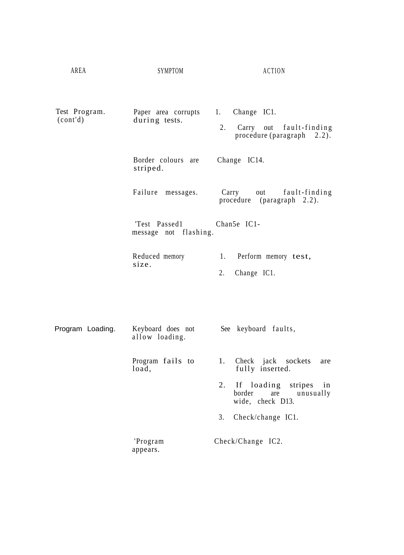| AREA                               | SYMPTOM                                             | <b>ACTION</b>                                                                                                                                                     |  |  |  |
|------------------------------------|-----------------------------------------------------|-------------------------------------------------------------------------------------------------------------------------------------------------------------------|--|--|--|
| Test Program.<br>$\text{(cont'd)}$ | Paper area corrupts 1. Change IC1.<br>during tests. | 2.<br>Carry out fault-finding<br>procedure (paragraph $2.2$ ).                                                                                                    |  |  |  |
|                                    | Border colours are<br>striped.                      | Change IC14.                                                                                                                                                      |  |  |  |
|                                    | Failure messages.                                   | Carry out fault-finding<br>procedure (paragraph 2.2).                                                                                                             |  |  |  |
|                                    | Test Passed1<br>message not flashing.               | Chan5e IC1-                                                                                                                                                       |  |  |  |
|                                    | Reduced memory<br>size.                             | 1. Perform memory test,<br>Change IC1.<br>2.                                                                                                                      |  |  |  |
| Program Loading.                   | Keyboard does not<br>allow loading.                 | See keyboard faults,                                                                                                                                              |  |  |  |
|                                    | Program fails to<br>load,                           | Check jack sockets<br>1.<br>are<br>fully inserted.<br>If loading stripes<br>2.<br>in<br>border<br>are<br>unusually<br>wide, check D13.<br>Check/change IC1.<br>3. |  |  |  |
|                                    | 'Program<br>appears.                                | Check/Change IC2.                                                                                                                                                 |  |  |  |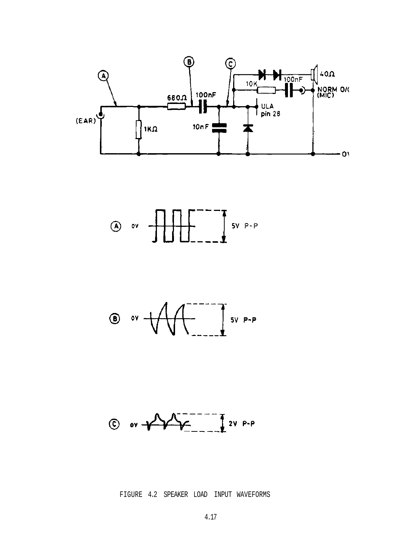





FIGURE 4.2 SPEAKER LOAD INPUT WAVEFORMS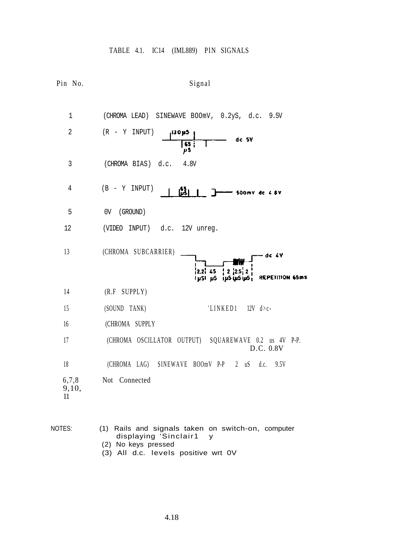Signal

| $\mathbf{1}$         | (CHROMA LEAD) SINEWAVE BOOmV, 0.2yS, d.c. 9.5V                                                      |
|----------------------|-----------------------------------------------------------------------------------------------------|
| $\overline{2}$       | $(R - Y INFO)$<br>5ىر 30 31 <sub>1</sub><br>dc 5V<br>65:<br>μ\$                                     |
| $\mathfrak{Z}$       | (CHROMA BIAS) d.c. 4.8V                                                                             |
| $\overline{4}$       | $(B - Y INFO)$<br>$\frac{65}{1}$  <br>500mV dc 4.8V                                                 |
| 5                    | 0V (GROUND)                                                                                         |
| 12                   | (VIDEO INPUT) d.c. 12V unreg.                                                                       |
| 13                   | (CHROMA SUBCARRIER)<br>- dc 4V<br>2.21.45<br><b>REPETITION 65ms</b><br>i usi lusi.<br>ius ius ius i |
| 14                   | $(R.F$ SUPPLY)                                                                                      |
| 15                   | (SOUND TANK)<br>$'LINKED1$ 12V $d>c$ -                                                              |
| 16                   | (CHROMA SUPPLY                                                                                      |
| 17                   | (CHROMA OSCILLATOR OUTPUT) SQUAREWAVE 0.2 us 4V P-P.<br>D.C. 0.8V                                   |
| 18                   | (CHROMA LAG) SINEWAVE BOOmV P-P 2 uS<br>d.c. $9.5V$                                                 |
| 6,7,8<br>9,10,<br>11 | Not Connected                                                                                       |

NOTES:

Pin No.

(1) Rails and signals taken on switch-on, computer<br>displaying 'Sinclair1 y

- (2) No keys pressed
- (3) All d.c. levels positive wrt OV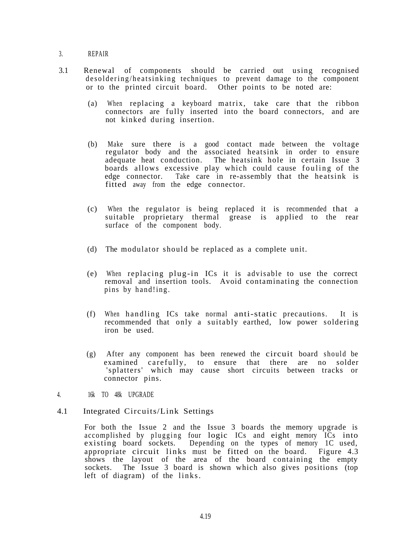### 3. REPAIR

- 3.1 Renewal of components should be carried out using recognised desoldering/heatsinking techniques to prevent damage to the component or to the printed circuit board. Other points to be noted are:
	- (a) When replacing a keyboard matrix, take care that the ribbon connectors are fully inserted into the board connectors, and are not kinked during insertion.
	- (b) Make sure there is a good contact made between the voltage regulator body and the associated heatsink in order to ensure adequate heat conduction. The heatsink hole in certain Issue 3 boards allows excessive play which could cause fouling of the edge connector. Take care in re-assembly that the heatsink is fitted away from the edge connector.
	- (c) When the regulator is being replaced it is recommended that a suitable proprietary thermal grease is applied to the rear surface of the component body.
	- (d) The modulator should be replaced as a complete unit.
	- (e) When replacing plug-in  $ICs$  it is advisable to use the correct removal and insertion tools. Avoid contaminating the connection pins by hand!ing.
	- (f) When handling ICs take normal anti-static precautions. It is recommended that only a suitably earthed, low power soldering iron be used.
	- (g) After any component has been renewed the circuit board should be examined carefully, to ensure that there are no solder 'splatters' which may cause short circuits between tracks or connector pins.
- 4. 16k TO 48k UPGRADE
- 4.1 Integrated Circuits/Link Settings

For both the Issue 2 and the Issue 3 boards the memory upgrade is accomplished by plugging four logic ICs and eight memory ICs into existing board sockets. Depending on the types of memory 1C used, appropriate circuit links must be fitted on the board. Figure 4.3 shows the layout of the area of the board containing the empty sockets. The Issue 3 board is shown which also gives positions (top left of diagram) of the links.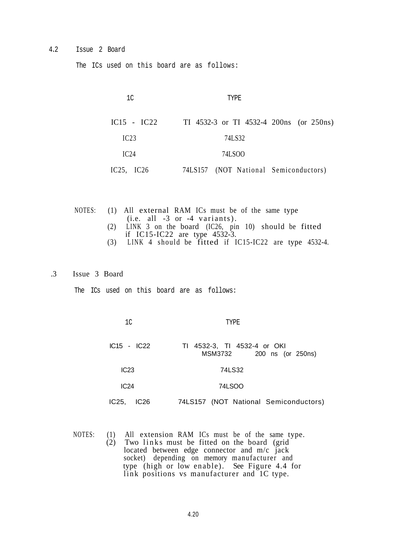4.2 Issue 2 Board

The ICs used on this board are as follows:

| 1 <sup>c</sup>                      | TYPF.                                   |
|-------------------------------------|-----------------------------------------|
| $IC15 - IC22$                       | TI 4532-3 or TI 4532-4 200ns (or 250ns) |
| IC23                                | 74LS32                                  |
| IC24                                | 74LSOO                                  |
| IC <sub>25</sub> , IC <sub>26</sub> | 74LS157 (NOT National Semiconductors)   |

| NOTES: (1) All external RAM ICs must be of the same type |                                                             |  |                                 |  |  |  |  |
|----------------------------------------------------------|-------------------------------------------------------------|--|---------------------------------|--|--|--|--|
|                                                          |                                                             |  | $(i.e. all -3 or -4 variants).$ |  |  |  |  |
|                                                          | $(2)$ LINK 3 on the board $(IC26, pin 10)$ should be fitted |  |                                 |  |  |  |  |

- if IC15-IC22 are type  $4532-3$ .
- (3) LINK 4 should be fitted if  $IC15$ -IC22 are type 4532-4.

.3 Issue 3 Board

The ICs used on this board are as follows:

- 1C TYPE IC15 - IC22 TI 4532-3, TI 4532-4 or OKI MSM3732 200 ns (or 250ns) IC23 74LS32 IC24 74LSOO IC25, IC26 74LS157 (NOT National Semiconductors)
- NOTES: (1) All extension RAM ICs must be of the same type.<br>(2) Two links must be fitted on the board (grid Two links must be fitted on the board (grid) located between edge connector and m/c jack socket) depending on memory manufacturer and type (high or low enable). See Figure 4.4 for link positions vs manufacturer and 1C type.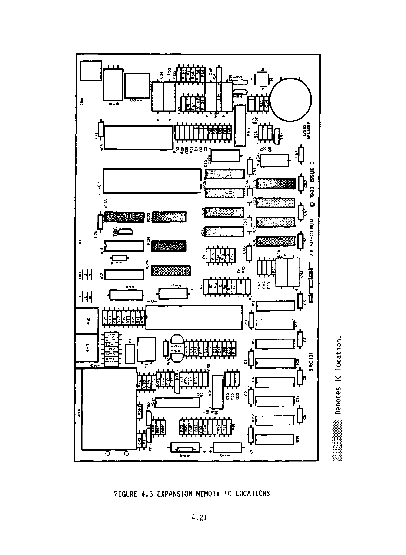

FIGURE 4.3 EXPANSION MEMORY IC LOCATIONS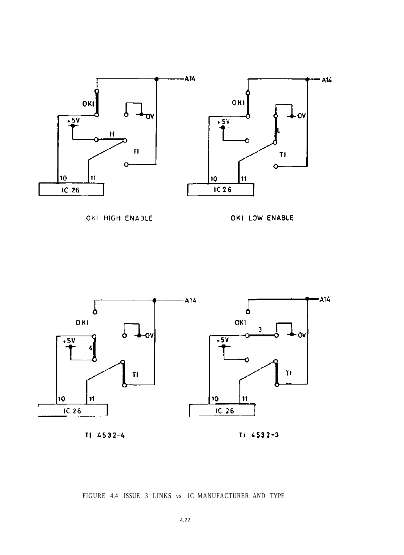

# OKI HIGH ENABLE

OKI LOW ENABLE



TI 4532-4

 $T1 = 4532-3$ 

FIGURE 4.4 ISSUE 3 LINKS vs 1C MANUFACTURER AND TYPE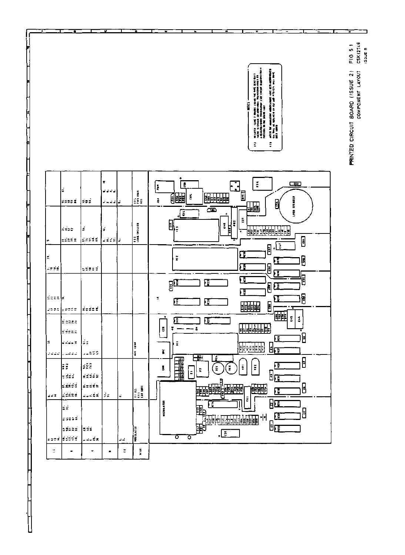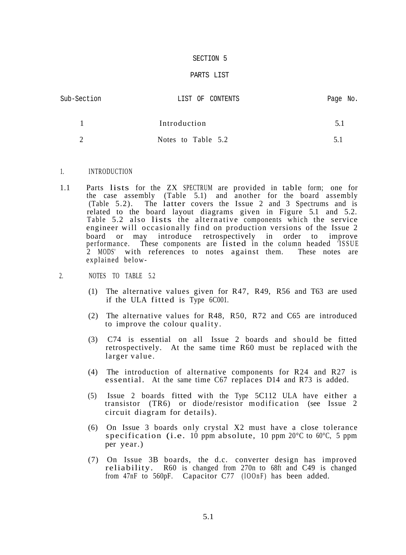#### SECTION 5

#### PARTS LIST

| Sub-Section | LIST OF CONTENTS   | Page No. |
|-------------|--------------------|----------|
|             | Introduction       | 5.1      |
|             | Notes to Table 5.2 | 51       |

- 1. INTRODUCTION
- 1.1 Parts lists for the ZX SPECTRUM are provided in table form; one for the case assembly (Table 5.1) and another for the board assembly (Table 5.2). The latter covers the Issue 2 and 3 Spectrums and is related to the board layout diagrams given in Figure 5.1 and 5.2. Table 5.2 also lists the alternative components which the service engineer will occasionally find on production versions of the Issue 2 board or may introduce retrospectively in order to improve performance. These components are listed in the column headed 'ISSUE 2 MODS' with references to notes against them. These notes are explained below-
- 2. NOTES TO TABLE 5.2
	- (1) The alternative values given for R47, R49, R56 and T63 are used if the ULA fitted is Type 6C001.
	- (2) The alternative values for R48, R50, R72 and C65 are introduced to improve the colour quality .
	- (3) C74 is essential on all Issue 2 boards and should be fitted retrospectively. At the same time R60 must be replaced with the larger value.
	- (4) The introduction of alternative components for R24 and R27 is essential. At the same time C67 replaces D14 and R73 is added.
	- (5) Issue 2 boards fitted with the Type 5C112 ULA have either a transistor (TR6) or diode/resistor modification (see Issue 2 circuit diagram for details).
	- (6) On Issue 3 boards only crystal X2 must have a close tolerance specification (i.e. 10 ppm absolute, 10 ppm  $20^{\circ}$ C to  $60^{\circ}$ C, 5 ppm per year.)
	- (7) On Issue 3B boards, the d.c. converter design has improved reliability. R60 is changed from 270n to 68ft and C49 is changed from  $47nF$  to  $560pF$ . Capacitor C77 (100nF) has been added.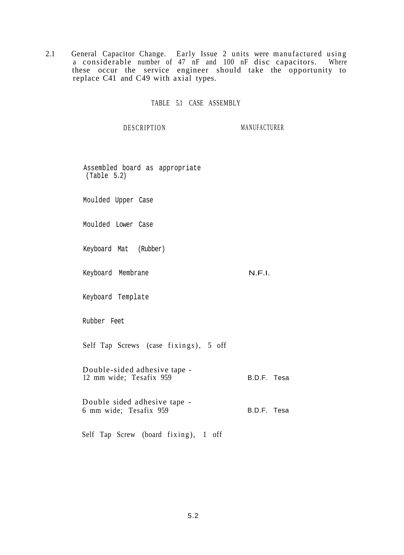2.1 General Capacitor Change. Early Issue 2 units were manufactured using a considerable number of 47 nF and 100 nF disc capacitors. Where these occur the service engineer should take the opportunity to replace C41 and C49 with axial types.

TABLE 5.1 CASE ASSEMBLY

DESCRIPTION MANUFACTURER

 $N.F.$ 

Assembled board as appropriate (Table 5.2)

Moulded Upper Case

Moulded Lower Case

Keyboard Mat (Rubber)

Keyboard Membrane

Keyboard Template

Rubber Feet

Self Tap Screws (case fixings), 5 off

Double-sided adhesive tape - 12 mm wide; Tesafix 959 B.D.F. Tesa

Double sided adhesive tape - 6 mm wide; Tesafix 959 B.D.F. Tesa

Self Tap Screw (board fixing), 1 off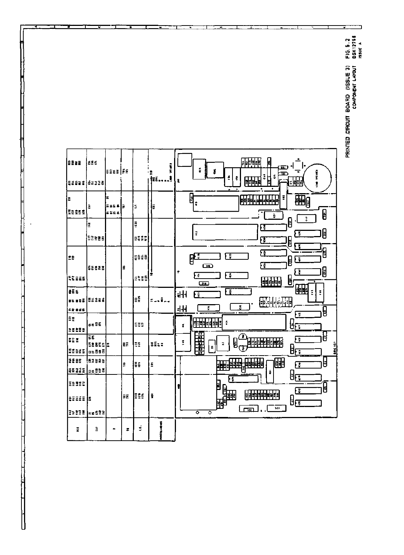**PRINTED CIRCUIT BOARD (ISSUE 3)** FIG. 5.2<br>COMPONENT LAYOUT DEK12756<br>COMPONENT LAYOUT DEK12756

| lse a a<br>536981683381                   | iss s             | 39 <b>323</b>        |       |           | years<br>Ξ<br><b>HE!</b> | þ<br>非同非用<br>ŀ<br>亚<br>÷<br>ł<br><b>Change and McC</b><br>È<br>t<br>$\overline{\mathbb{S}}$<br>ë<br>₹<br>E<br>Ė<br>33212   |
|-------------------------------------------|-------------------|----------------------|-------|-----------|--------------------------|----------------------------------------------------------------------------------------------------------------------------|
| E<br><b>Ressa</b>                         | Ξ                 | le.<br>assa)<br>eraz | E     | E         | ΙE                       | $\mathbf{H}_{\epsilon}$<br>嗣<br>Ξ<br>的神<br>目<br>ŧ                                                                          |
|                                           | E<br><b>Basas</b> |                      |       | E<br>9985 |                          | t.<br>9<br>Γ<br>9<br>ę<br>ভি<br>旧<br>Π                                                                                     |
| Ξâ                                        | 53823             |                      | Ė     | essa      |                          | 圧<br>Ή<br>厏<br>日<br>眶<br>目す<br>FF<br>๛                                                                                     |
| Rtees                                     |                   |                      |       | 3986      | ż                        | 3<br>π<br>÷<br>π<br>দি<br>e.<br>Bi<br>甲骨骨<br>ம                                                                             |
| a E s<br><b>SEER SEER</b><br><b>SEBSE</b> |                   |                      |       | ΞĒ        | $z_1, \hat{z}_2$         | 毕<br>Γξ<br>ž<br>ă,<br>H<br>Ε<br><b>Friday Tip</b><br>$\overline{\mathbf{3}}$<br>ᆊ<br>÷<br>╞                                |
| lä a<br>28858                             | as SE             |                      |       | 259       |                          | π<br><b>seperate and allege</b><br>ž<br>$\frac{1}{2}$<br>Ŧ                                                                 |
| sge<br>25555 00856                        | ΞE<br>saasela     |                      | lee i | ష         | <b>Siza</b>              | €€€€€€<br>H<br>7<br>π<br>Ì.<br>来非律的<br>þ<br>≈<br><b>SAC 121</b><br>$\overline{\phantom{a}}$<br>$\theta_{\bar{\text{E}}}$   |
| 3985<br>35222 <b>268</b> 63               | isaeae.           |                      | E     | Ξ£        | ã                        | y<br>豳<br>π<br>Ð<br>â                                                                                                      |
| 39336<br>lessas la<br>22333 <b>as533</b>  |                   |                      | 9g.   | l≣§a      | Ĩ                        | 。<br>近<br>ΓŦ<br>E<br>မြ<br>匡<br>$\theta$ اءِ $\overline{\theta}$<br>$\overline{11}$<br>ர்ய<br>ᡒ<br>$\overline{\mathbf{o}}$ |
| Ξ                                         | ã                 |                      | Ξ     | ś         | 10001011001              |                                                                                                                            |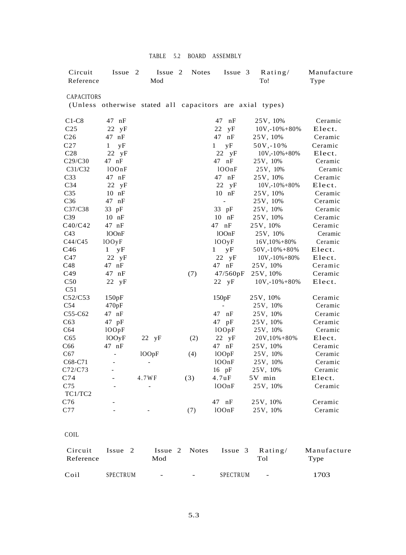# TABLE 5.2 BOARD ASSEMBLY

| Circuit         | Issue                                                    | 2               | Issue 2 | <b>Notes</b> | Issue 3         | Rating/             | Manufacture |
|-----------------|----------------------------------------------------------|-----------------|---------|--------------|-----------------|---------------------|-------------|
| Reference       |                                                          | Mod             |         |              |                 | To!                 | Type        |
| CAPACITORS      |                                                          |                 |         |              |                 |                     |             |
|                 | (Unless otherwise stated all capacitors are axial types) |                 |         |              |                 |                     |             |
| $C1-C8$         | $47$ nF                                                  |                 |         |              | 47<br>nF        | 25V, 10%            | Ceramic     |
| C <sub>25</sub> | $22 \text{ yF}$                                          |                 |         |              | 22<br>yF        | $10V, -10\% + 80\%$ | Elect.      |
| C <sub>26</sub> | 47 nF                                                    |                 |         |              | 47 nF           | 25V, 10%            | Ceramic     |
| C27             | yF<br>$\mathbf{1}$                                       |                 |         | $\mathbf{1}$ | vF              | $50V, -10%$         | Ceramic     |
| C28             | $22 \text{ yF}$                                          |                 |         |              | $22 \text{ yF}$ | $10V, -10\% + 80\%$ | Elect.      |
| C29/C30         | 47 nF                                                    |                 |         |              | 47 nF           | 25V, 10%            | Ceramic     |
| C31/C32         | 100nF                                                    |                 |         |              | 100nF           | 25V, 10%            | Ceramic     |
| C <sub>33</sub> | 47 nF                                                    |                 |         |              | $47$ nF         | 25V, 10%            | Ceramic     |
| C34             | $22 \text{ yF}$                                          |                 |         |              | $22 \text{ yF}$ | $10V, -10\% + 80\%$ | Elect.      |
| C <sub>35</sub> | 10 nF                                                    |                 |         |              | 10 nF           | 25V, 10%            | Ceramic     |
| C36             | 47 nF                                                    |                 |         |              | $\blacksquare$  | 25V, 10%            | Ceramic     |
| C37/C38         | $33$ pF                                                  |                 |         |              | 33 pF           | 25V, 10%            | Ceramic     |
| C39             | 10 nF                                                    |                 |         |              | 10 nF           | 25V, 10%            | Ceramic     |
| C40/C42         | 47 nF                                                    |                 |         |              | 47 nF           | 25V, 10%            | Ceramic     |
| C <sub>43</sub> | 100 <sub>nF</sub>                                        |                 |         |              | 100nF           | 25V, 10%            | Ceramic     |
| C44/C45         | 100yF                                                    |                 |         |              | 100yF           | $16V, 10\% + 80\%$  | Ceramic     |
| C46             | $1 \quad yF$                                             |                 |         |              | $1 \quad$<br>уF | $50V, -10\% + 80\%$ | Elect.      |
| C <sub>47</sub> | 22 yF                                                    |                 |         |              | $22 \text{ yF}$ | $10V, -10\% + 80\%$ | Elect.      |
| C48             | 47 nF                                                    |                 |         |              | $47$ nF         | 25V, 10%            | Ceramic     |
| C49             | 47 nF                                                    |                 |         | (7)          | 47/560pF        | 25V, 10%            | Ceramic     |
| C50             | $22 \text{ yF}$                                          |                 |         |              | $22 \text{ yF}$ | $10V, -10\% + 80\%$ | Elect.      |
| C <sub>51</sub> |                                                          |                 |         |              |                 |                     |             |
| C52/C53         | 150pF                                                    |                 |         |              | 150pF           | 25V, 10%            | Ceramic     |
| C54             | 470pF                                                    |                 |         |              |                 | 25V, 10%            | Ceramic     |
| C55-C62         | 47 nF                                                    |                 |         |              | $47$ nF         | 25V, 10%            | Ceramic     |
| C63             | 47 pF                                                    |                 |         |              | 47 pF           | 25V, 10%            | Ceramic     |
| C64             | 100pF                                                    |                 |         |              | 100pF           | 25V, 10%            | Ceramic     |
| C65             | 100yF                                                    | $22 \text{ yF}$ |         | (2)          | $22 \text{ yF}$ | $20V, 10\% + 80\%$  | Elect.      |
| C66             | 47 nF                                                    |                 |         |              | 47 nF           | 25V, 10%            | Ceramic     |
| C67             | $\qquad \qquad \blacksquare$                             | 100pF           |         | (4)          | 100pF           | 25V, 10%            | Ceramic     |
| C68-C71         |                                                          |                 |         |              | 100nF           | 25V, 10%            | Ceramic     |
| C72/C73         |                                                          |                 |         |              | 16 pF           | 25V, 10%            | Ceramic     |
| C74             |                                                          | 4.7WF           |         | (3)          | 4.7uF           | 5V min              | Elect.      |
| C <sub>75</sub> |                                                          |                 |         |              | 100nF           | 25V, 10%            | Ceramic     |
| TC1/TC2         |                                                          |                 |         |              |                 |                     |             |
| C76             |                                                          |                 |         |              | 47 nF           | 25V, 10%            | Ceramic     |
| C77             |                                                          |                 |         | (7)          | 100nF           | 25V, 10%            | Ceramic     |
|                 |                                                          |                 |         |              |                 |                     |             |

# COIL

| Circuit<br>Reference | Issue 2         | Mod                      |                | Issue 2 Notes Issue 3 Rating/ | Tol        | Manufacture<br>Type |
|----------------------|-----------------|--------------------------|----------------|-------------------------------|------------|---------------------|
| Coil                 | <b>SPECTRUM</b> | $\overline{\phantom{0}}$ | $\sim$ 10 $\,$ | <b>SPECTRUM</b>               | $\sim$ $-$ | 1703                |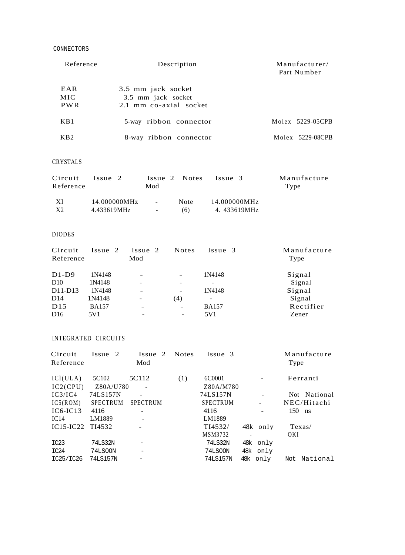#### CONNECTORS

| Reference                       | Description                                                        | Manufacturer/<br>Part Number |
|---------------------------------|--------------------------------------------------------------------|------------------------------|
| EAR<br><b>MIC</b><br><b>PWR</b> | 3.5 mm jack socket<br>3.5 mm jack socket<br>2.1 mm co-axial socket |                              |
| K <sub>R</sub> 1                | 5-way ribbon connector                                             | Molex 5229-05CPB             |
| KB <sub>2</sub>                 | 8-way ribbon connector                                             | Molex 5229-08CPB             |

# CRYSTALS

| Circuit<br>Reference | Issue 2      | Issue 2 Notes<br>Mod |             | Issue 3      | Manufacture<br>Type |
|----------------------|--------------|----------------------|-------------|--------------|---------------------|
| -XI                  | 14.000000MHz | $\sim$               | <b>Note</b> | 14.000000MHz |                     |
| X2                   | 4.433619MHz  | $\sim$               | (6)         | 4.433619MHz  |                     |

# DIODES

| Circuit<br>Reference | Issue 2      | Issue 2<br>Mod | <b>Notes</b>                 | Issue 3      | Manufacture<br>Type |
|----------------------|--------------|----------------|------------------------------|--------------|---------------------|
| $D1-D9$              | 1N4148       |                | $\overline{\phantom{0}}$     | 1N4148       | Signal              |
| D <sub>10</sub>      | 1N4148       |                | $\overline{\phantom{a}}$     |              | Signal              |
| D11-D13              | 1N4148       | -              | $\qquad \qquad \blacksquare$ | 1N4148       | Signal              |
| D <sub>14</sub>      | 1N4148       |                | (4)                          | -            | Signal              |
| D15                  | <b>BA157</b> | -              |                              | <b>BA157</b> | Rectifier           |
| D <sub>16</sub>      | 5V1          | -              |                              | 5V1          | Zener               |

# INTEGRATED CIRCUITS

| Issue 2         | Issue 2<br>Mod           | <b>Notes</b>       | Issue 3         |          | Manufacture<br>Type |
|-----------------|--------------------------|--------------------|-----------------|----------|---------------------|
|                 |                          |                    |                 |          | Ferranti            |
|                 | $\overline{\phantom{a}}$ |                    | Z80A/M780       |          |                     |
| 74LS157N        |                          |                    | 74LS157N        |          | Not National        |
| <b>SPECTRUM</b> | <b>SPECTRUM</b>          |                    | <b>SPECTRUM</b> |          | NEC/Hitachi         |
| 4116            |                          |                    | 4116            |          | 150<br>ns           |
| LM1889          |                          |                    | LM1889          |          |                     |
| TI4532          |                          |                    | TI4532/         | 48k only | Texas/              |
|                 |                          |                    | MSM3732         |          | OKI                 |
| 74LS32N         |                          |                    | 74LS32N         | 48k only |                     |
| 74LSOON         |                          |                    | 74LSOON         | 48k only |                     |
| 74LS157N        |                          |                    | 74LS157N        | 48k only | Not National        |
|                 | 5C <sub>102</sub>        | 5C112<br>Z80A/U780 | (1)             | 6C0001   |                     |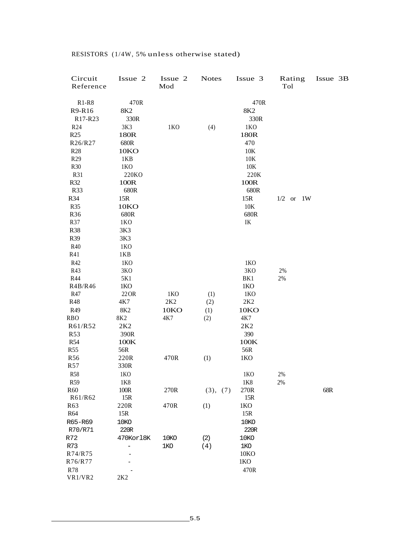| Circuit<br>Reference  | Issue 2          | Issue 2<br>Mod   | <b>Notes</b> | Issue 3                           | Rating<br>Tol | Issue 3B |  |
|-----------------------|------------------|------------------|--------------|-----------------------------------|---------------|----------|--|
| $R1-R8$               | 470R             |                  |              | 470R                              |               |          |  |
| R9-R16                | 8K <sub>2</sub>  |                  |              | 8K <sub>2</sub>                   |               |          |  |
| R17-R23               | 330R             |                  |              | 330R                              |               |          |  |
| R <sub>24</sub>       | 3K3              | 1KO              | (4)          | 1KO                               |               |          |  |
| R <sub>25</sub>       | 180R             |                  |              | 180R                              |               |          |  |
| R26/R27               | 680R             |                  |              | 470                               |               |          |  |
| R <sub>28</sub>       | 10KO             |                  |              | 10K                               |               |          |  |
| R29                   | 1KB              |                  |              | 10K                               |               |          |  |
| R30                   | 1KO              |                  |              | 10K                               |               |          |  |
| R31                   | 220KO            |                  |              | 220K                              |               |          |  |
| R32                   | 100R             |                  |              | 100R                              |               |          |  |
| R33                   | 680R             |                  |              | 680R                              |               |          |  |
| R34                   | 15R              |                  |              | 15R                               | $1/2$ or $1W$ |          |  |
| R35                   | 10KO             |                  |              | 10K                               |               |          |  |
| R36                   | 680R             |                  |              | 680R                              |               |          |  |
| R37                   | 1KO              |                  |              | $\ensuremath{\mathsf{IK}}\xspace$ |               |          |  |
| R38                   | 3K3              |                  |              |                                   |               |          |  |
| R39                   | 3K3              |                  |              |                                   |               |          |  |
| R40                   | 1KO              |                  |              |                                   |               |          |  |
| R41                   | 1KB              |                  |              |                                   |               |          |  |
| R42                   | 1KO              |                  |              | 1KO                               |               |          |  |
| R43                   | 3KO              |                  |              | 3KO                               | $2\%$         |          |  |
| <b>R44</b><br>R4B/R46 | 5K1<br>1KO       |                  |              | BK1<br>1KO                        | 2%            |          |  |
| R47                   | 22OR             | 1KO              | (1)          | 1KO                               |               |          |  |
| R48                   | 4K7              | 2K2              | (2)          | 2K2                               |               |          |  |
| R49                   | 8K <sub>2</sub>  | 10KO             | (1)          | 10KO                              |               |          |  |
| <b>RBO</b>            | 8K <sub>2</sub>  | 4K7              | (2)          | 4K7                               |               |          |  |
| R61/R52               | 2K2              |                  |              | 2K2                               |               |          |  |
| R53                   | 390R             |                  |              | 390                               |               |          |  |
| <b>R54</b>            | 100K             |                  |              | 100K                              |               |          |  |
| <b>R55</b>            | 56R              |                  |              | 56R                               |               |          |  |
| R56                   | 220R             | 470R             | (1)          | 1KO                               |               |          |  |
| R57                   | 330R             |                  |              |                                   |               |          |  |
| <b>R58</b>            | 1KO              |                  |              | 1KO                               | $2\%$         |          |  |
| R59                   | 1K8              |                  |              | 1K8                               | 2%            |          |  |
| R <sub>60</sub>       | 100R             | 270R             | (3), (7)     | 270R                              |               | 68R      |  |
| R61/R62               | 15R              |                  |              | 15R                               |               |          |  |
| R63                   | 220R             | 470R             | (1)          | 1KO                               |               |          |  |
| R64                   | 15R              |                  |              | 15R                               |               |          |  |
| R65-R69               | 10KO             |                  |              | 10KO                              |               |          |  |
| R70/R71               | 220 <sub>R</sub> |                  |              | 220 <sub>R</sub>                  |               |          |  |
| R72                   | 470Korl8K        | 10 <sub>KO</sub> | (2)          | 10KO                              |               |          |  |
| R73                   |                  | 1KO              | (4)          | 1KO                               |               |          |  |
| R74/R75               |                  |                  |              | 10KO                              |               |          |  |
| R76/R77               |                  |                  |              | 1KO                               |               |          |  |
| R78                   |                  |                  |              | 470R                              |               |          |  |
| VR1/VR2               | 2K2              |                  |              |                                   |               |          |  |

# RESISTORS (1/4W, 5% unless otherwise stated)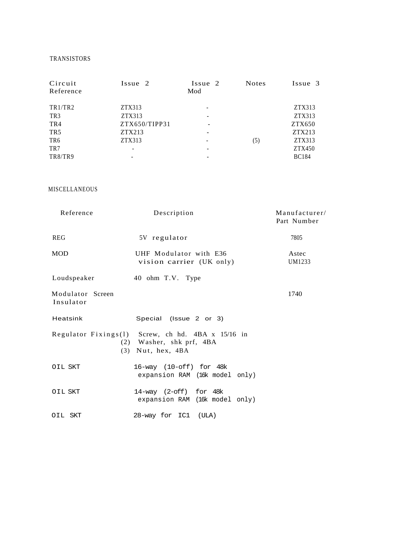# TRANSISTORS

| Circuit<br>Reference | Issue 2       | Issue 2<br>Mod | <b>Notes</b> | Issue 3      |
|----------------------|---------------|----------------|--------------|--------------|
| TR1/TR2              | ZTX313        | ۰              |              | ZTX313       |
| TR <sub>3</sub>      | ZTX313        |                |              | ZTX313       |
| TR4                  | ZTX650/TIPP31 |                |              | ZTX650       |
| TR5                  | ZTX213        |                |              | ZTX213       |
| TR6                  | ZTX313        | ۰              | (5)          | ZTX313       |
| TR7                  |               |                |              | ZTX450       |
| TR8/TR9              |               |                |              | <b>BC184</b> |

## MISCELLANEOUS

| Reference                     | Description                                                                                            | Manufacturer/<br>Part Number |
|-------------------------------|--------------------------------------------------------------------------------------------------------|------------------------------|
| <b>REG</b>                    | 5V regulator                                                                                           | 7805                         |
| <b>MOD</b>                    | UHF Modulator with E36<br>vision carrier (UK only)                                                     | Astec<br>UM1233              |
| Loudspeaker                   | 40 ohm T.V. Type                                                                                       |                              |
| Modulator Screen<br>Insulator |                                                                                                        | 1740                         |
| Heatsink                      | Special (Issue 2 or 3)                                                                                 |                              |
|                               | Regulator Fixings(1) Screw, ch hd. 4BA x 15/16 in<br>(2) Washer, shk prf, 4BA<br>$(3)$ Nut, hex, $4BA$ |                              |
| OIL SKT                       | 16-way (10-off) for 48k<br>expansion RAM (16k model only)                                              |                              |
| OIL SKT                       | $14$ -way (2-off) for $48k$<br>expansion RAM (16k model only)                                          |                              |
| OIL SKT                       | 28-way for IC1 (ULA)                                                                                   |                              |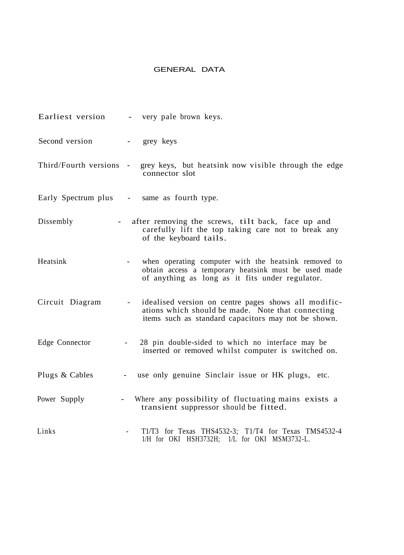# GENERAL DATA

|                                            |            | Earliest version - very pale brown keys.                                                                                                                           |
|--------------------------------------------|------------|--------------------------------------------------------------------------------------------------------------------------------------------------------------------|
| Second version                             |            | - grey keys                                                                                                                                                        |
|                                            |            | Third/Fourth versions - grey keys, but heatsink now visible through the edge<br>connector slot                                                                     |
| Early Spectrum plus - same as fourth type. |            |                                                                                                                                                                    |
| Dissembly                                  |            | after removing the screws, tilt back, face up and<br>carefully lift the top taking care not to break any<br>of the keyboard tails.                                 |
| Heatsink                                   |            | when operating computer with the heatsink removed to<br>obtain access a temporary heatsink must be used made<br>of anything as long as it fits under regulator.    |
| Circuit Diagram                            |            | - idealised version on centre pages shows all modific-<br>ations which should be made. Note that connecting<br>items such as standard capacitors may not be shown. |
| Edge Connector                             | $\sim 100$ | 28 pin double-sided to which no interface may be<br>inserted or removed whilst computer is switched on.                                                            |
| Plugs & Cables                             |            | - use only genuine Sinclair issue or HK plugs, etc.                                                                                                                |
| Power Supply                               |            | Where any possibility of fluctuating mains exists a<br>transient suppressor should be fitted.                                                                      |
| Links                                      |            | T1/T3 for Texas THS4532-3; T1/T4 for Texas TMS4532-4<br>1/H for OKI HSH3732H; 1/L for OKI MSM3732-L.                                                               |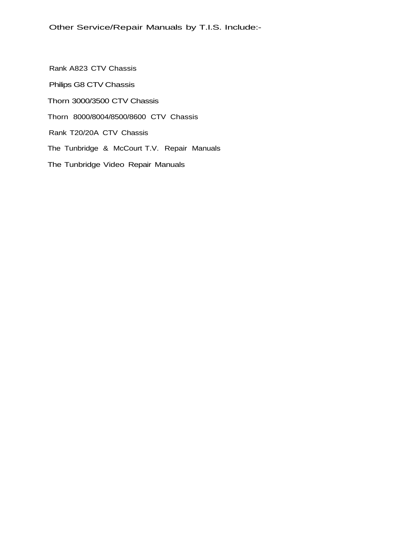Rank A823 CTV Chassis Philips G8 CTV Chassis Thorn 3000/3500 CTV Chassis Thorn 8000/8004/8500/8600 CTV Chassis Rank T20/20A CTV Chassis The Tunbridge & McCourt T.V. Repair Manuals The Tunbridge Video Repair Manuals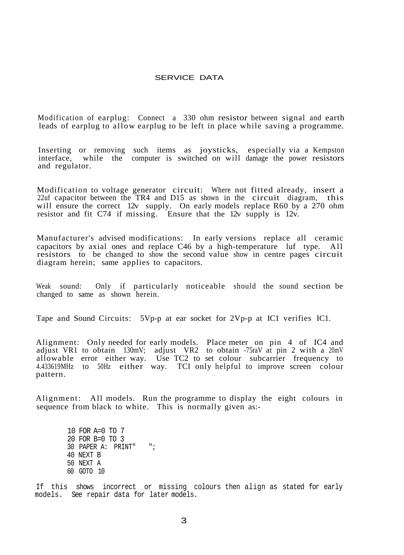# SERVICE DATA

Modification of earplug: Connect a 330 ohm resistor between signal and earth leads of earplug to allow earplug to be left in place while saving a programme.

Inserting or removing such items as joysticks, especially via a Kempston interface, while the computer is switched on will damage the power resistors and regulator.

Modification to voltage generator circuit: Where not fitted already, insert a 22uf capacitor between the TR4 and D15 as shown in the circuit diagram, this will ensure the correct 12v supply. On early models replace R60 by a 270 ohm resistor and fit C74 if missing. Ensure that the 12v supply is 12v.

Manufacturer's advised modifications: In early versions replace all ceramic capacitors by axial ones and replace C46 by a high-temperature luf type. All resistors to be changed to show the second value show in centre pages circuit diagram herein; same applies to capacitors.

Weak sound: Only if particularly noticeable should the sound section be changed to same as shown herein.

Tape and Sound Circuits: 5Vp-p at ear socket for 2Vp-p at IC1 verifies IC1.

Alignment: Only needed for early models. Place meter on pin 4 of IC4 and adjust VR1 to obtain 130mV; adjust VR2 to obtain -75raV at pin 2 with a 20mV allowable error either way. Use TC2 to set colour subcarrier frequency to 4.433619MHz to 50Hz either way. TCI only helpful to improve screen colour pattern.

Alignment: All models. Run the programme to display the eight colours in sequence from black to white. This is normally given as:-

> 10 FOR A=0 TO 7 20 FOR B=0 TO 3 30 PAPER A: PRINT" "; 40 NEXT B 50 NEXT A 60 GOTO 10

If this shows incorrect or missing colours then align as stated for early models. See repair data for later models.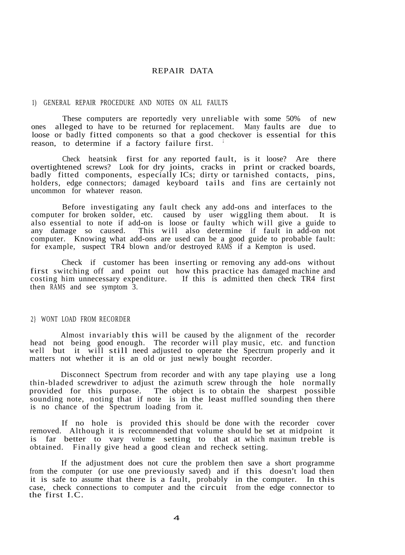## REPAIR DATA

## 1) GENERAL REPAIR PROCEDURE AND NOTES ON ALL FAULTS

These computers are reportedly very unreliable with some 50% of new ones alleged to have to be returned for replacement. Many faults are due to loose or badly fitted components so that a good checkover is essential for this reason, to determine if a factory failure first.

Check heatsink first for any reported fault, is it loose? Are there overtightened screws? Look for dry joints, cracks in print or cracked boards, badly fitted components, especially ICs; dirty or tarnished contacts, pins, holders, edge connectors; damaged keyboard tails and fins are certainly not uncommon for whatever reason.

Before investigating any fault check any add-ons and interfaces to the computer for broken solder, etc. caused by user wiggling them about. It is also essential to note if add-on is loose or faulty which will give a guide to any damage so caused. This will also determine if fault in add-on not computer. Knowing what add-ons are used can be a good guide to probable fault: for example, suspect TR4 blown and/or destroyed RAMS if a Kempton is used.

Check if customer has been inserting or removing any add-ons without first switching off and point out how this practice has damaged machine and costing him unnecessary expenditure. If this is admitted then check TR4 first then RAMS and see symptom 3.

#### 2} WONT LOAD FROM RECORDER

Almost invariably this will be caused by the alignment of the recorder head not being good enough. The recorder will play music, etc. and function well but it will still need adjusted to operate the Spectrum properly and it matters not whether it is an old or just newly bought recorder.

Disconnect Spectrum from recorder and with any tape playing use a long thin-bladed screwdriver to adjust the azimuth screw through the hole normally provided for this purpose. The object is to obtain the sharpest possible sounding note, noting that if note is in the least muffled sounding then there is no chance of the Spectrum loading from it.

If no hole is provided this should be done with the recorder cover removed. Although it is reccomnended that volume should be set at midpoint it is far better to vary volume setting to that at which maximum treble is obtained. Finally give head a good clean and recheck setting.

If the adjustment does not cure the problem then save a short programme from the computer (or use one previously saved) and if this doesn't load then it is safe to assume that there is a fault, probably in the computer. In this case, check connections to computer and the circuit from the edge connector to the first I.C.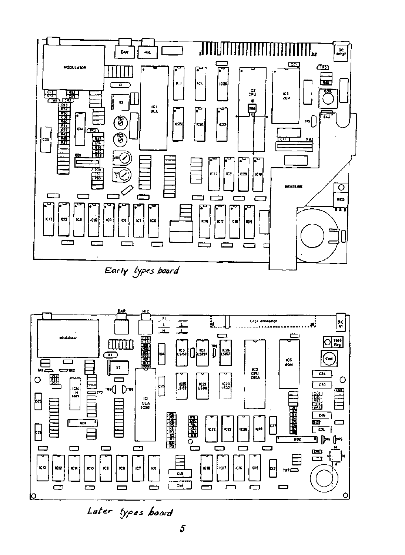



Later types board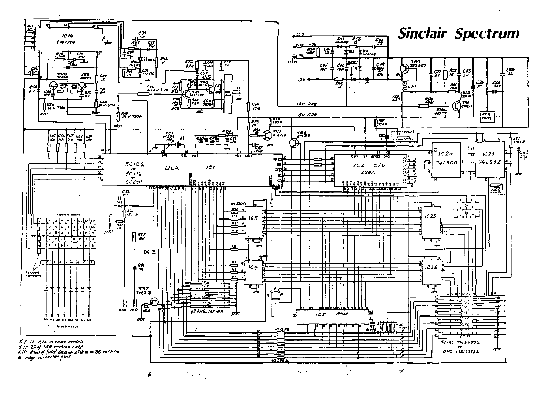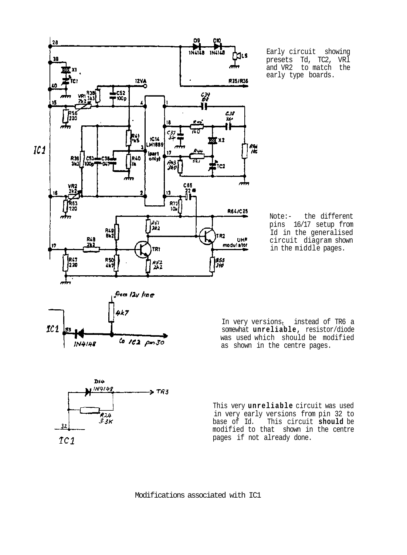

Early circuit showing presets Td, TC2, VRl and VR2 to match the early type boards.

Note:- the different pins 16/17 setup from Id in the generalised circuit diagram shown in the middle pages.



In very versions $_{t}$  instead of TR6 a somewhat **unreliable,** resistor/diode was used which should be modified as shown in the centre pages.



This very **unreliable** circuit was used in very early versions from pin 32 to base of Id. This circuit **should** be modified to that shown in the centre pages if not already done.

Modifications associated with IC1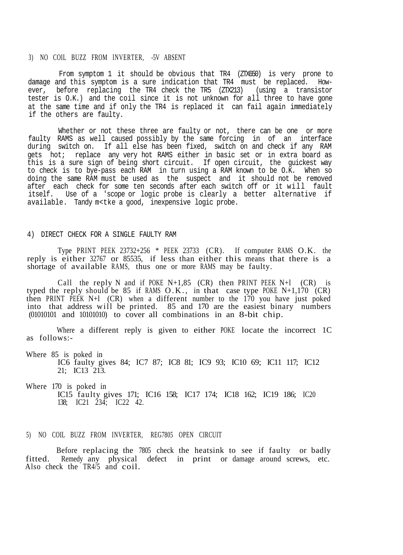### 3) NO COIL BUZZ FROM INVERTER, -5V ABSENT

From symptom 1 it should be obvious that TR4 (ZTX650) is very prone to damage and this symptom is a sure indication that TR4 must be replaced. However, before replacing the TR4 check the TR5 (ZTX213) (using a transistor tester is O.K.) and the coil since it is not unknown for all three to have gone at the same time and if only the TR4 is replaced it can fail again immediately if the others are faulty.

Whether or not these three are faulty or not, there can be one or more faulty RAMS as well caused possibly by the same forcing in of an interface during switch on. If all else has been fixed, switch on and check if any RAM gets hot; replace any very hot RAMS either in basic set or in extra board as this is a sure sign of being short circuit. If open circuit, the guickest way to check is to bye-pass each RAM in turn using a RAM known to be O.K. When so doing the same RAM must be used as the suspect and it should not be removed after each check for some ten seconds after each switch off or it will fault itself. Use of a 'scope or logic probe is clearly a better alternative if available. Tandy m<tke a good, inexpensive logic probe.

## 4) DIRECT CHECK FOR A SINGLE FAULTY RAM

Type PRINT PEEK 23732+256 \* PEEK 23733 (CR). If computer RAMS O.K. the reply is either 32767 or 85535, if less than either this means that there is a shortage of available RAMS, thus one or more RAMS may be faulty.

Call the reply N and if POKE  $N+1,85$  (CR) then PRINT PEEK  $N+1$  (CR) is typed the reply should be 85 if RAMS  $O.K.,$  in that case type POKE N+1,170 (CR) then PRINT PEEK N+1  $(CR)$  when a different number to the 170 you have just poked into that address will be printed. 85 and 170 are the easiest binary numbers (01010101 and 10101010) to cover all combinations in an 8-bit chip.

Where a different reply is given to either POKE locate the incorrect 1C as follows:-

Where 85 is poked in

IC6 faulty gives 84; IC7 87; IC8 81; IC9 93; IC10 69; IC11 117; IC12 21; IC13 213.

Where 170 is poked in IC15 faulty gives 171; IC16 158; IC17 174; IC18 162; IC19 186; IC20 138; IC21 234; IC22 42.

5) NO COIL BUZZ FROM INVERTER, REG7805 OPEN CIRCUIT

Before replacing the 7805 check the heatsink to see if faulty or badly fitted. Remedy any physical defect in print or damage around screws, etc. Also check the TR4/5 and coil.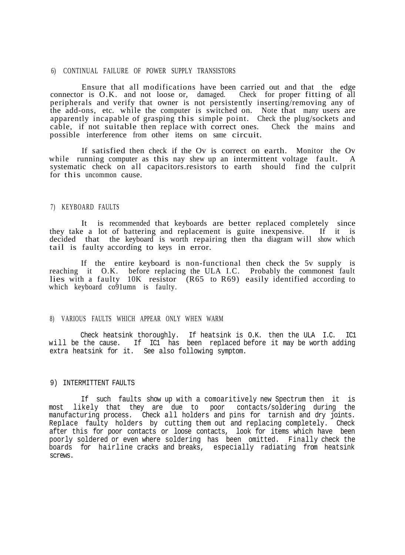## 6) CONTINUAL FAILURE OF POWER SUPPLY TRANSISTORS

Ensure that all modifications have been carried out and that the edge connector is O.K. and not loose or, damaged. Check for proper fitting of all peripherals and verify that owner is not persistently inserting/removing any of the add-ons, etc. while the computer is switched on. Note that many users are apparently incapable of grasping this simple point. Check the plug/sockets and cable, if not suitable then replace with correct ones. Check the mains and possible interference from other items on same circuit.

If satisfied then check if the Ov is correct on earth. Monitor the Ov while running computer as this nay shew up an intermittent voltage fault. A systematic check on all capacitors.resistors to earth should find the culprit for this uncommon cause.

### 7) KEYBOARD FAULTS

It is recommended that keyboards are better replaced completely since<br>e a lot of battering and replacement is guite inexpensive. If it is they take a lot of battering and replacement is guite inexpensive. decided that the keyboard is worth repairing then tha diagram will show which tail is faulty according to keys in error.

If the entire keyboard is non-functional then check the 5v supply is reaching it O.K. before replacing the ULA I.C. Probably the commonest fault lies with a faulty 10K resistor (R65 to R69) easily identified according to which keyboard co91umn is faulty.

## 8) VARIOUS FAULTS WHICH APPEAR ONLY WHEN WARM

Check heatsink thoroughly. If heatsink is  $0.K.$  then the ULA I.C. will be the cause. If IC1 has been replaced before it may be worth adding extra heatsink for it. See also following symptom.

## 9) INTERMITTENT FAULTS

If such faults show up with a comoaritively new Spectrum then it is most likely that they are due to poor contacts/soldering during the manufacturing process. Check all holders and pins for tarnish and dry joints. Replace faulty holders by cutting them out and replacing completely. Check after this for poor contacts or loose contacts, look for items which have been poorly soldered or even where soldering has been omitted. Finally check the boards for hairline cracks and breaks, especially radiating from heatsink screws.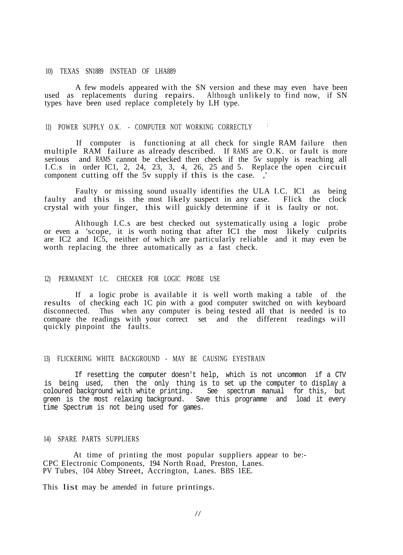### 10) TEXAS SN1889 INSTEAD OF LHA889

A few models appeared with the SN version and these may even have been used as replacements during repairs. Although unlikely to find now, if SN types have been used replace completely by LH type.

### 11) POWER SUPPLY O.K. - COMPUTER NOT WORKING CORRECTLY

If computer is functioning at all check for single RAM failure then multiple RAM failure as already described. If RAMS are O.K. or fault is more serious and RAMS cannot be checked then check if the 5v supply is reaching all I.C.s in order IC1, 2, 24, 23, 3, 4, 26, 25 and 5. Replace the open circuit component cutting off the 5v supply if this is the case. ,'

Faulty or missing sound usually identifies the ULA I.C. IC1 as being faulty and this is the most likely suspect in any case. Flick the clock crystal with your finger, this will guickly determine if it is faulty or not.

Although I.C.s are best checked out systematically using a logic probe or even a 'scope, it is worth noting that after IC1 the most likely culprits are IC2 and IC5, neither of which are particularly reliable and it may even be worth replacing the three automatically as a fast check.

# 12) PERMANENT I.C. CHECKER FOR LOGIC PROBE USE

If a logic probe is available it is well worth making a table of the results of checking each 1C pin with a good computer switched on with keyboard disconnected. Thus when any computer is being tested all that is needed is to compare the readings with your correct set and the different readings will quickly pinpoint the faults.

#### 13) FLICKERING WHITE BACKGROUND - MAY BE CAUSING EYESTRAIN

If resetting the computer doesn't help, which is not uncommon if a CTV is being used, then the only thing is to set up the computer to display a coloured background with white printing. See spectrum manual for this, but green is the most relaxing background. Save this programme and load it every time Spectrum is not being used for games.

## 14) SPARE PARTS SUPPLIERS

At time of printing the most popular suppliers appear to be:- CPC Electronic Components, 194 North Road, Preston, Lanes. PV Tubes, 104 Abbey Street, Accrington, Lanes. BBS 1EE.

This list may be amended in future printings.